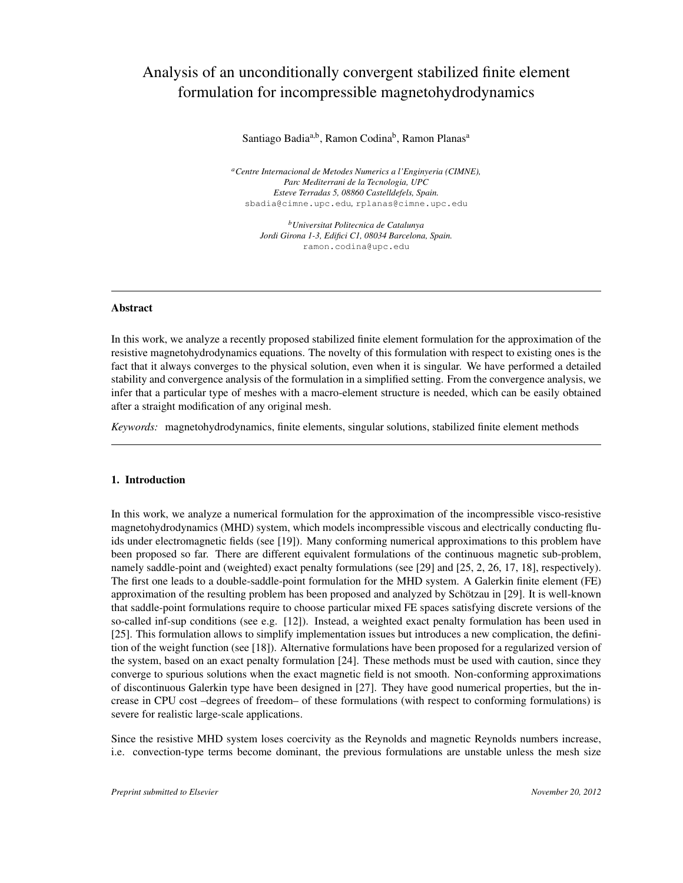# Analysis of an unconditionally convergent stabilized finite element formulation for incompressible magnetohydrodynamics

Santiago Badia<sup>a,b</sup>, Ramon Codina<sup>b</sup>, Ramon Planas<sup>a</sup>

*<sup>a</sup>Centre Internacional de Metodes Numerics a l'Enginyeria (CIMNE), Parc Mediterrani de la Tecnologia, UPC Esteve Terradas 5, 08860 Castelldefels, Spain.* sbadia@cimne.upc.edu*,* rplanas@cimne.upc.edu

> *<sup>b</sup>Universitat Politecnica de Catalunya Jordi Girona 1-3, Edifici C1, 08034 Barcelona, Spain.* ramon.codina@upc.edu

#### Abstract

In this work, we analyze a recently proposed stabilized finite element formulation for the approximation of the resistive magnetohydrodynamics equations. The novelty of this formulation with respect to existing ones is the fact that it always converges to the physical solution, even when it is singular. We have performed a detailed stability and convergence analysis of the formulation in a simplified setting. From the convergence analysis, we infer that a particular type of meshes with a macro-element structure is needed, which can be easily obtained after a straight modification of any original mesh.

*Keywords:* magnetohydrodynamics, finite elements, singular solutions, stabilized finite element methods

### 1. Introduction

In this work, we analyze a numerical formulation for the approximation of the incompressible visco-resistive magnetohydrodynamics (MHD) system, which models incompressible viscous and electrically conducting fluids under electromagnetic fields (see [19]). Many conforming numerical approximations to this problem have been proposed so far. There are different equivalent formulations of the continuous magnetic sub-problem, namely saddle-point and (weighted) exact penalty formulations (see [29] and [25, 2, 26, 17, 18], respectively). The first one leads to a double-saddle-point formulation for the MHD system. A Galerkin finite element (FE) approximation of the resulting problem has been proposed and analyzed by Schötzau in [29]. It is well-known that saddle-point formulations require to choose particular mixed FE spaces satisfying discrete versions of the so-called inf-sup conditions (see e.g. [12]). Instead, a weighted exact penalty formulation has been used in [25]. This formulation allows to simplify implementation issues but introduces a new complication, the definition of the weight function (see [18]). Alternative formulations have been proposed for a regularized version of the system, based on an exact penalty formulation [24]. These methods must be used with caution, since they converge to spurious solutions when the exact magnetic field is not smooth. Non-conforming approximations of discontinuous Galerkin type have been designed in [27]. They have good numerical properties, but the increase in CPU cost –degrees of freedom– of these formulations (with respect to conforming formulations) is severe for realistic large-scale applications.

Since the resistive MHD system loses coercivity as the Reynolds and magnetic Reynolds numbers increase, i.e. convection-type terms become dominant, the previous formulations are unstable unless the mesh size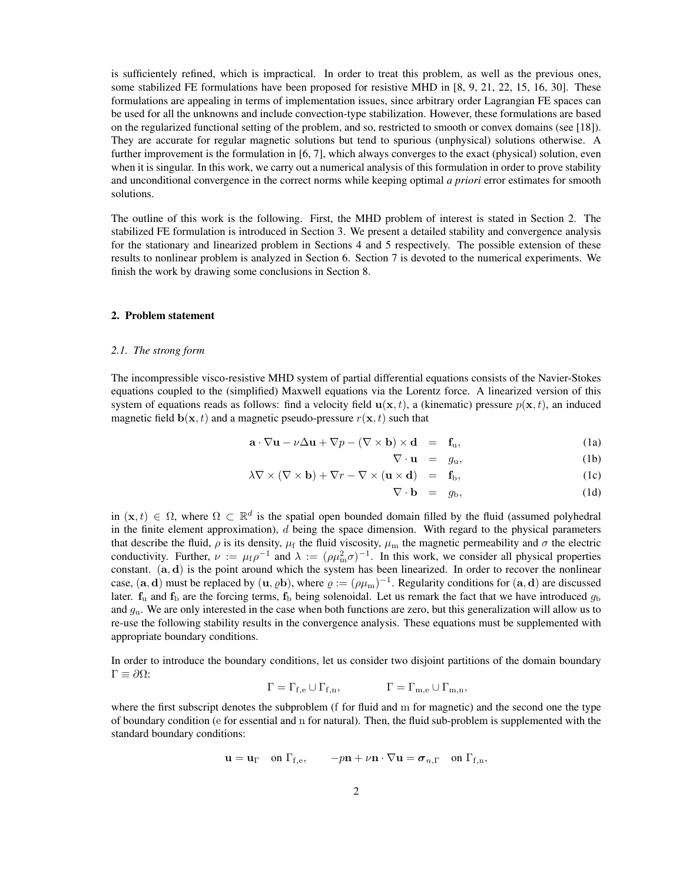is sufficientely refined, which is impractical. In order to treat this problem, as well as the previous ones, some stabilized FE formulations have been proposed for resistive MHD in [8, 9, 21, 22, 15, 16, 30]. These formulations are appealing in terms of implementation issues, since arbitrary order Lagrangian FE spaces can be used for all the unknowns and include convection-type stabilization. However, these formulations are based on the regularized functional setting of the problem, and so, restricted to smooth or convex domains (see [18]). They are accurate for regular magnetic solutions but tend to spurious (unphysical) solutions otherwise. A further improvement is the formulation in [6, 7], which always converges to the exact (physical) solution, even when it is singular. In this work, we carry out a numerical analysis of this formulation in order to prove stability and unconditional convergence in the correct norms while keeping optimal *a priori* error estimates for smooth solutions.

The outline of this work is the following. First, the MHD problem of interest is stated in Section 2. The stabilized FE formulation is introduced in Section 3. We present a detailed stability and convergence analysis for the stationary and linearized problem in Sections 4 and 5 respectively. The possible extension of these results to nonlinear problem is analyzed in Section 6. Section 7 is devoted to the numerical experiments. We finish the work by drawing some conclusions in Section 8.

#### 2. Problem statement

#### *2.1. The strong form*

The incompressible visco-resistive MHD system of partial differential equations consists of the Navier-Stokes equations coupled to the (simplified) Maxwell equations via the Lorentz force. A linearized version of this system of equations reads as follows: find a velocity field  $u(x, t)$ , a (kinematic) pressure  $p(x, t)$ , an induced magnetic field  $\mathbf{b}(\mathbf{x}, t)$  and a magnetic pseudo-pressure  $r(\mathbf{x}, t)$  such that

$$
\mathbf{a} \cdot \nabla \mathbf{u} - \nu \Delta \mathbf{u} + \nabla p - (\nabla \times \mathbf{b}) \times \mathbf{d} = \mathbf{f}_{\mathbf{u}}, \tag{1a}
$$

$$
\nabla \cdot \mathbf{u} = g_{\mathbf{u}}, \tag{1b}
$$

$$
\lambda \nabla \times (\nabla \times \mathbf{b}) + \nabla r - \nabla \times (\mathbf{u} \times \mathbf{d}) = \mathbf{f}_{\mathbf{b}}, \tag{1c}
$$

$$
\nabla \cdot \mathbf{b} = g_{\mathrm{b}}, \tag{1d}
$$

in  $(x, t) \in \Omega$ , where  $\Omega \subset \mathbb{R}^d$  is the spatial open bounded domain filled by the fluid (assumed polyhedral in the finite element approximation),  $d$  being the space dimension. With regard to the physical parameters that describe the fluid,  $\rho$  is its density,  $\mu_f$  the fluid viscosity,  $\mu_m$  the magnetic permeability and  $\sigma$  the electric conductivity. Further,  $\nu := \mu_f \rho^{-1}$  and  $\lambda := (\rho \mu_m^2 \sigma)^{-1}$ . In this work, we consider all physical properties constant.  $(a, d)$  is the point around which the system has been linearized. In order to recover the nonlinear case,  $(a, d)$  must be replaced by  $(u, \varrho b)$ , where  $\varrho := (\rho \mu_m)^{-1}$ . Regularity conditions for  $(a, d)$  are discussed later.  $f_{\mu}$  and  $f_{\mu}$  are the forcing terms,  $f_{\mu}$  being solenoidal. Let us remark the fact that we have introduced  $g_{\mu}$ and  $g<sub>u</sub>$ . We are only interested in the case when both functions are zero, but this generalization will allow us to re-use the following stability results in the convergence analysis. These equations must be supplemented with appropriate boundary conditions.

In order to introduce the boundary conditions, let us consider two disjoint partitions of the domain boundary  $Γ \equiv ∂Ω$ :

$$
\Gamma = \Gamma_{f,e} \cup \Gamma_{f,n}, \qquad \Gamma = \Gamma_{m,e} \cup \Gamma_{m,n},
$$

where the first subscript denotes the subproblem (f for fluid and m for magnetic) and the second one the type of boundary condition (e for essential and n for natural). Then, the fluid sub-problem is supplemented with the standard boundary conditions:

$$
\mathbf{u} = \mathbf{u}_{\Gamma} \quad \text{on } \Gamma_{\text{f,e}}, \qquad -p\mathbf{n} + \nu \mathbf{n} \cdot \nabla \mathbf{u} = \boldsymbol{\sigma}_{n,\Gamma} \quad \text{on } \Gamma_{\text{f,n}},
$$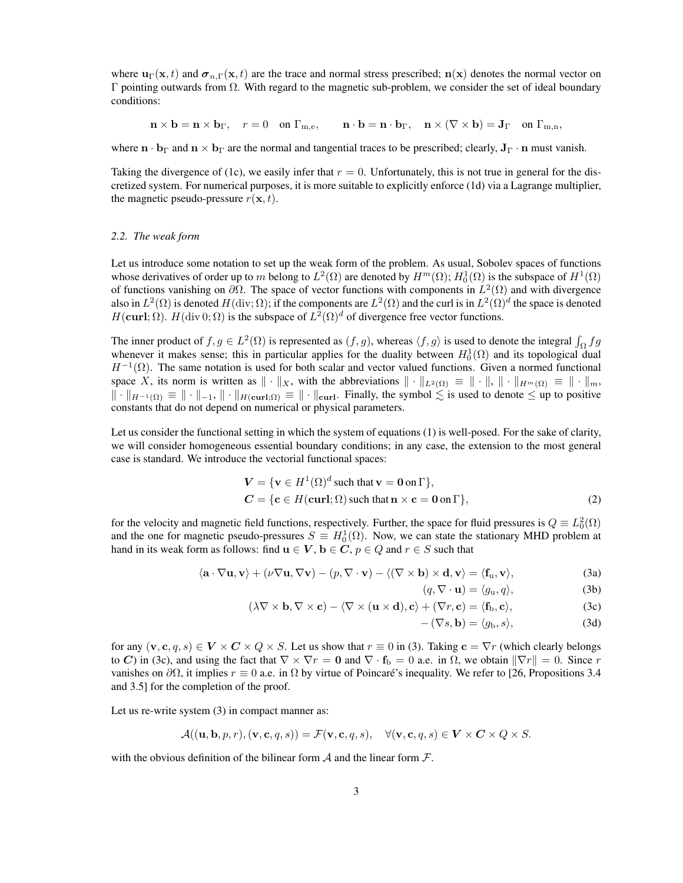where  $\mathbf{u}_{\Gamma}(\mathbf{x},t)$  and  $\boldsymbol{\sigma}_{n,\Gamma}(\mathbf{x},t)$  are the trace and normal stress prescribed;  $\mathbf{n}(\mathbf{x})$  denotes the normal vector on Γ pointing outwards from Ω. With regard to the magnetic sub-problem, we consider the set of ideal boundary conditions:

 $\mathbf{n} \times \mathbf{b} = \mathbf{n} \times \mathbf{b}_{\Gamma}$ ,  $r = 0$  on  $\Gamma_{\text{m.e}}$ ,  $\mathbf{n} \cdot \mathbf{b} = \mathbf{n} \cdot \mathbf{b}_{\Gamma}$ ,  $\mathbf{n} \times (\nabla \times \mathbf{b}) = \mathbf{J}_{\Gamma}$  on  $\Gamma_{\text{m.n}}$ ,

where  $\mathbf{n} \cdot \mathbf{b}_{\Gamma}$  and  $\mathbf{n} \times \mathbf{b}_{\Gamma}$  are the normal and tangential traces to be prescribed; clearly,  $\mathbf{J}_{\Gamma} \cdot \mathbf{n}$  must vanish.

Taking the divergence of (1c), we easily infer that  $r = 0$ . Unfortunately, this is not true in general for the discretized system. For numerical purposes, it is more suitable to explicitly enforce (1d) via a Lagrange multiplier, the magnetic pseudo-pressure  $r(\mathbf{x}, t)$ .

#### *2.2. The weak form*

Let us introduce some notation to set up the weak form of the problem. As usual, Sobolev spaces of functions whose derivatives of order up to m belong to  $L^2(\Omega)$  are denoted by  $H^m(\Omega)$ ;  $H_0^1(\Omega)$  is the subspace of  $H^1(\Omega)$ of functions vanishing on  $\partial\Omega$ . The space of vector functions with components in  $L^2(\Omega)$  and with divergence also in  $L^2(\Omega)$  is denoted  $H(\text{div};\Omega)$ ; if the components are  $L^2(\Omega)$  and the curl is in  $L^2(\Omega)^d$  the space is denoted  $H(\text{curl}; \Omega)$ .  $H(\text{div } 0; \Omega)$  is the subspace of  $L^2(\Omega)^d$  of divergence free vector functions.

The inner product of  $f, g \in L^2(\Omega)$  is represented as  $(f, g)$ , whereas  $\langle f, g \rangle$  is used to denote the integral  $\int_{\Omega} fg$ whenever it makes sense; this in particular applies for the duality between  $H_0^1(\Omega)$  and its topological dual  $H^{-1}(\Omega)$ . The same notation is used for both scalar and vector valued functions. Given a normed functional space X, its norm is written as  $\|\cdot\|_X$ , with the abbreviations  $\|\cdot\|_{L^2(\Omega)} \equiv \|\cdot\|$ ,  $\|\cdot\|_{H^m(\Omega)} \equiv \|\cdot\|_m$ ,  $\| \cdot \|_{H^{-1}(\Omega)} \equiv \| \cdot \|_{-1}, \| \cdot \|_{H(\mathbf{curl};\Omega)} \equiv \| \cdot \|_{\mathbf{curl}}.$  Finally, the symbol  $\leq$  is used to denote  $\leq$  up to positive constants that do not depend on numerical or physical parameters.

Let us consider the functional setting in which the system of equations (1) is well-posed. For the sake of clarity, we will consider homogeneous essential boundary conditions; in any case, the extension to the most general case is standard. We introduce the vectorial functional spaces:

$$
V = \{v \in H^{1}(\Omega)^{d} \text{ such that } v = 0 \text{ on } \Gamma\},
$$
  
\n
$$
C = \{c \in H(\text{curl}; \Omega) \text{ such that } n \times c = 0 \text{ on } \Gamma\},
$$
\n(2)

for the velocity and magnetic field functions, respectively. Further, the space for fluid pressures is  $Q \equiv L_0^2(\Omega)$ and the one for magnetic pseudo-pressures  $S \equiv H_0^1(\Omega)$ . Now, we can state the stationary MHD problem at hand in its weak form as follows: find  $\mathbf{u} \in V$ ,  $\mathbf{b} \in C$ ,  $p \in Q$  and  $r \in S$  such that

$$
\langle \mathbf{a} \cdot \nabla \mathbf{u}, \mathbf{v} \rangle + (\nu \nabla \mathbf{u}, \nabla \mathbf{v}) - (p, \nabla \cdot \mathbf{v}) - \langle (\nabla \times \mathbf{b}) \times \mathbf{d}, \mathbf{v} \rangle = \langle \mathbf{f}_{\mathbf{u}}, \mathbf{v} \rangle,
$$
 (3a)

$$
(q, \nabla \cdot \mathbf{u}) = \langle g_{\mathbf{u}}, q \rangle,
$$
 (3b)

$$
(\lambda \nabla \times \mathbf{b}, \nabla \times \mathbf{c}) - \langle \nabla \times (\mathbf{u} \times \mathbf{d}), \mathbf{c} \rangle + (\nabla r, \mathbf{c}) = \langle \mathbf{f}_{\mathbf{b}}, \mathbf{c} \rangle, \tag{3c}
$$

$$
-(\nabla s, \mathbf{b}) = \langle g_{\mathbf{b}}, s \rangle, \tag{3d}
$$

for any  $(v, c, q, s) \in V \times C \times Q \times S$ . Let us show that  $r \equiv 0$  in (3). Taking  $c = \nabla r$  (which clearly belongs to C) in (3c), and using the fact that  $\nabla \times \nabla r = 0$  and  $\nabla \cdot \mathbf{f}_b = 0$  a.e. in  $\Omega$ , we obtain  $\|\nabla r\| = 0$ . Since r vanishes on  $\partial\Omega$ , it implies  $r \equiv 0$  a.e. in  $\Omega$  by virtue of Poincaré's inequality. We refer to [26, Propositions 3.4 and 3.5] for the completion of the proof.

Let us re-write system  $(3)$  in compact manner as:

$$
\mathcal{A}((\mathbf{u},\mathbf{b},p,r),(\mathbf{v},\mathbf{c},q,s)) = \mathcal{F}(\mathbf{v},\mathbf{c},q,s), \quad \forall (\mathbf{v},\mathbf{c},q,s) \in \mathbf{V} \times \mathbf{C} \times \mathbf{Q} \times S.
$$

with the obvious definition of the bilinear form  $A$  and the linear form  $\mathcal{F}$ .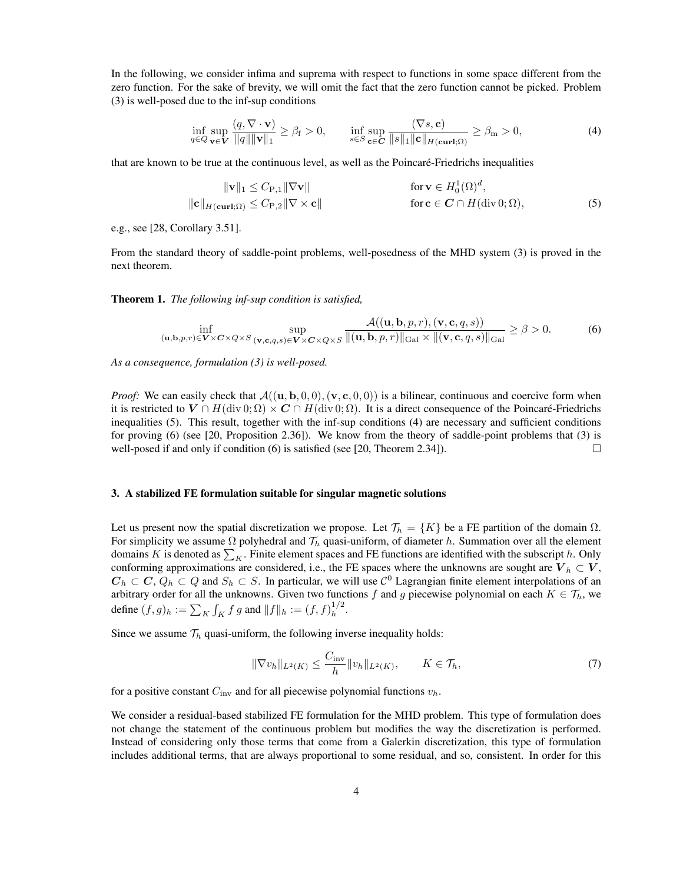In the following, we consider infima and suprema with respect to functions in some space different from the zero function. For the sake of brevity, we will omit the fact that the zero function cannot be picked. Problem (3) is well-posed due to the inf-sup conditions

$$
\inf_{q \in Q} \sup_{\mathbf{v} \in \mathbf{V}} \frac{(q, \nabla \cdot \mathbf{v})}{\|q\| \|\mathbf{v}\|_1} \ge \beta_f > 0, \qquad \inf_{s \in S} \sup_{\mathbf{c} \in \mathbf{C}} \frac{(\nabla s, \mathbf{c})}{\|s\|_1 \|\mathbf{c}\|_{H(\mathbf{curl};\Omega)}} \ge \beta_m > 0,
$$
\n(4)

that are known to be true at the continuous level, as well as the Poincare-Friedrichs inequalities ´

$$
\|\mathbf{v}\|_{1} \leq C_{\mathbf{P},1} \|\nabla \mathbf{v}\| \qquad \qquad \text{for } \mathbf{v} \in H_0^1(\Omega)^d,
$$
  

$$
\|\mathbf{c}\|_{H(\mathbf{curl};\Omega)} \leq C_{\mathbf{P},2} \|\nabla \times \mathbf{c}\| \qquad \qquad \text{for } \mathbf{c} \in \mathbf{C} \cap H(\text{div } 0;\Omega), \tag{5}
$$

e.g., see [28, Corollary 3.51].

From the standard theory of saddle-point problems, well-posedness of the MHD system (3) is proved in the next theorem.

Theorem 1. *The following inf-sup condition is satisfied,*

$$
\inf_{(\mathbf{u},\mathbf{b},p,r)\in\mathbf{V}\times\mathbf{C}\times Q\times S} \sup_{(\mathbf{v},\mathbf{c},q,s)\in\mathbf{V}\times\mathbf{C}\times Q\times S} \frac{\mathcal{A}((\mathbf{u},\mathbf{b},p,r),(\mathbf{v},\mathbf{c},q,s))}{\|(\mathbf{u},\mathbf{b},p,r)\|_{\text{Gal}}\times\|(\mathbf{v},\mathbf{c},q,s)\|_{\text{Gal}}}\geq \beta > 0.
$$
 (6)

*As a consequence, formulation (3) is well-posed.*

*Proof:* We can easily check that  $\mathcal{A}((\mathbf{u}, \mathbf{b}, 0, 0), (\mathbf{v}, \mathbf{c}, 0, 0))$  is a bilinear, continuous and coercive form when it is restricted to  $V \cap H(\text{div } 0; \Omega) \times C \cap H(\text{div } 0; \Omega)$ . It is a direct consequence of the Poincaré-Friedrichs inequalities (5). This result, together with the inf-sup conditions (4) are necessary and sufficient conditions for proving (6) (see [20, Proposition 2.36]). We know from the theory of saddle-point problems that (3) is well-posed if and only if condition (6) is satisfied (see [20, Theorem 2.34]).

#### 3. A stabilized FE formulation suitable for singular magnetic solutions

Let us present now the spatial discretization we propose. Let  $\mathcal{T}_h = \{K\}$  be a FE partition of the domain  $\Omega$ . For simplicity we assume  $\Omega$  polyhedral and  $\mathcal{T}_h$  quasi-uniform, of diameter h. Summation over all the element domains K is denoted as  $\sum_K$ . Finite element spaces and FE functions are identified with the subscript h. Only conforming approximations are considered, i.e., the FE spaces where the unknowns are sought are  $V_h \subset V$ ,  $C_h \subset C$ ,  $Q_h \subset Q$  and  $S_h \subset S$ . In particular, we will use  $\mathcal{C}^0$  Lagrangian finite element interpolations of an arbitrary order for all the unknowns. Given two functions f and g piecewise polynomial on each  $K \in \mathcal{T}_h$ , we define  $(f, g)_h := \sum_K \int_K f g$  and  $||f||_h := (f, f)_h^{1/2}$  $\frac{1}{h}$ .

Since we assume  $\mathcal{T}_h$  quasi-uniform, the following inverse inequality holds:

$$
\|\nabla v_h\|_{L^2(K)} \le \frac{C_{\text{inv}}}{h} \|v_h\|_{L^2(K)}, \qquad K \in \mathcal{T}_h,
$$
 (7)

for a positive constant  $C_{\text{inv}}$  and for all piecewise polynomial functions  $v_h$ .

We consider a residual-based stabilized FE formulation for the MHD problem. This type of formulation does not change the statement of the continuous problem but modifies the way the discretization is performed. Instead of considering only those terms that come from a Galerkin discretization, this type of formulation includes additional terms, that are always proportional to some residual, and so, consistent. In order for this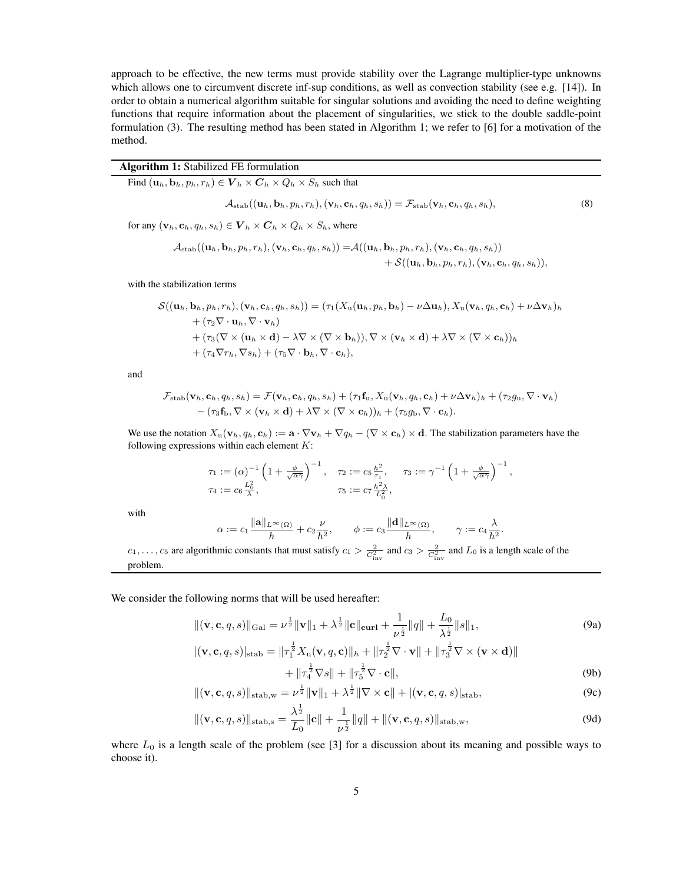approach to be effective, the new terms must provide stability over the Lagrange multiplier-type unknowns which allows one to circumvent discrete inf-sup conditions, as well as convection stability (see e.g. [14]). In order to obtain a numerical algorithm suitable for singular solutions and avoiding the need to define weighting functions that require information about the placement of singularities, we stick to the double saddle-point formulation (3). The resulting method has been stated in Algorithm 1; we refer to [6] for a motivation of the method.

# Algorithm 1: Stabilized FE formulation

Find  $(\mathbf{u}_h, \mathbf{b}_h, p_h, r_h) \in \mathbf{V}_h \times \mathbf{C}_h \times Q_h \times S_h$  such that

$$
\mathcal{A}_{\text{stab}}((\mathbf{u}_h, \mathbf{b}_h, p_h, r_h), (\mathbf{v}_h, \mathbf{c}_h, q_h, s_h)) = \mathcal{F}_{\text{stab}}(\mathbf{v}_h, \mathbf{c}_h, q_h, s_h), \tag{8}
$$

for any  $(\mathbf{v}_h, \mathbf{c}_h, q_h, s_h) \in \mathbf{V}_h \times \mathbf{C}_h \times Q_h \times S_h$ , where

$$
\mathcal{A}_{\text{stab}}((\mathbf{u}_h, \mathbf{b}_h, p_h, r_h), (\mathbf{v}_h, \mathbf{c}_h, q_h, s_h)) = \mathcal{A}((\mathbf{u}_h, \mathbf{b}_h, p_h, r_h), (\mathbf{v}_h, \mathbf{c}_h, q_h, s_h))+ \mathcal{S}((\mathbf{u}_h, \mathbf{b}_h, p_h, r_h), (\mathbf{v}_h, \mathbf{c}_h, q_h, s_h)),
$$

with the stabilization terms

$$
\mathcal{S}((\mathbf{u}_h, \mathbf{b}_h, p_h, r_h), (\mathbf{v}_h, \mathbf{c}_h, q_h, s_h)) = (\tau_1(X_\mathrm{u}(\mathbf{u}_h, p_h, \mathbf{b}_h) - \nu \Delta \mathbf{u}_h), X_\mathrm{u}(\mathbf{v}_h, q_h, \mathbf{c}_h) + \nu \Delta \mathbf{v}_h)_h + (\tau_2 \nabla \cdot \mathbf{u}_h, \nabla \cdot \mathbf{v}_h) + (\tau_3 (\nabla \times (\mathbf{u}_h \times \mathbf{d}) - \lambda \nabla \times (\nabla \times \mathbf{b}_h)), \nabla \times (\mathbf{v}_h \times \mathbf{d}) + \lambda \nabla \times (\nabla \times \mathbf{c}_h))_h + (\tau_4 \nabla r_h, \nabla s_h) + (\tau_5 \nabla \cdot \mathbf{b}_h, \nabla \cdot \mathbf{c}_h),
$$

and

$$
\mathcal{F}_{\text{stab}}(\mathbf{v}_h, \mathbf{c}_h, q_h, s_h) = \mathcal{F}(\mathbf{v}_h, \mathbf{c}_h, q_h, s_h) + (\tau_1 \mathbf{f}_u, X_u(\mathbf{v}_h, q_h, \mathbf{c}_h) + \nu \Delta \mathbf{v}_h)_h + (\tau_2 g_u, \nabla \cdot \mathbf{v}_h) - (\tau_3 \mathbf{f}_b, \nabla \times (\mathbf{v}_h \times \mathbf{d}) + \lambda \nabla \times (\nabla \times \mathbf{c}_h))_h + (\tau_5 g_b, \nabla \cdot \mathbf{c}_h).
$$

We use the notation  $X_u(\mathbf{v}_h, q_h, \mathbf{c}_h) := \mathbf{a} \cdot \nabla \mathbf{v}_h + \nabla q_h - (\nabla \times \mathbf{c}_h) \times \mathbf{d}$ . The stabilization parameters have the following expressions within each element  $K$ :

$$
\tau_1 := (\alpha)^{-1} \left( 1 + \frac{\phi}{\sqrt{\alpha \gamma}} \right)^{-1}, \quad \tau_2 := c_5 \frac{h^2}{\tau_1}, \quad \tau_3 := \gamma^{-1} \left( 1 + \frac{\phi}{\sqrt{\alpha \gamma}} \right)^{-1}
$$
  

$$
\tau_4 := c_6 \frac{L_0^2}{\lambda}, \qquad \tau_5 := c_7 \frac{h^2 \lambda}{L_0^2},
$$

with

$$
\alpha:=c_1\frac{\|\mathbf{a}\|_{L^\infty(\Omega)}}{h}+c_2\frac{\nu}{h^2},\qquad \phi:=c_3\frac{\|\mathbf{d}\|_{L^\infty(\Omega)}}{h},\qquad \gamma:=c_4\frac{\lambda}{h^2}
$$

 $c_1, \ldots, c_5$  are algorithmic constants that must satisfy  $c_1 > \frac{2}{C_{\text{inv}}^2}$  and  $c_3 > \frac{2}{C_{\text{inv}}^2}$  and  $L_0$  is a length scale of the problem.

We consider the following norms that will be used hereafter:

$$
\|(\mathbf{v}, \mathbf{c}, q, s)\|_{\text{Gal}} = \nu^{\frac{1}{2}} \|\mathbf{v}\|_{1} + \lambda^{\frac{1}{2}} \|\mathbf{c}\|_{\text{curl}} + \frac{1}{\nu^{\frac{1}{2}}} \|q\| + \frac{L_{0}}{\lambda^{\frac{1}{2}}} \|s\|_{1},
$$
\n(9a)

,

.

$$
\begin{split} |(\mathbf{v}, \mathbf{c}, q, s)|_{\text{stab}} &= \|\tau_1^{\frac{1}{2}} X_{\mathbf{u}}(\mathbf{v}, q, \mathbf{c})\|_h + \|\tau_2^{\frac{1}{2}} \nabla \cdot \mathbf{v}\| + \|\tau_3^{\frac{1}{2}} \nabla \times (\mathbf{v} \times \mathbf{d})\| \\ &+ \|\tau_4^{\frac{1}{2}} \nabla s\| + \|\tau_5^{\frac{1}{2}} \nabla \cdot \mathbf{c}\|,\end{split} \tag{9b}
$$

$$
\|(\mathbf{v}, \mathbf{c}, q, s)\|_{\text{stab}, \mathbf{w}} = \nu^{\frac{1}{2}} \|\mathbf{v}\|_{1} + \lambda^{\frac{1}{2}} \|\nabla \times \mathbf{c}\| + |(\mathbf{v}, \mathbf{c}, q, s)|_{\text{stab}},
$$
\n(9c)

$$
\|(\mathbf{v}, \mathbf{c}, q, s)\|_{\text{stab},\mathbf{s}} = \frac{\lambda^{\frac{1}{2}}}{L_0} \|\mathbf{c}\| + \frac{1}{\nu^{\frac{1}{2}}} \|q\| + \|(\mathbf{v}, \mathbf{c}, q, s)\|_{\text{stab},\mathbf{w}},\tag{9d}
$$

where  $L_0$  is a length scale of the problem (see [3] for a discussion about its meaning and possible ways to choose it).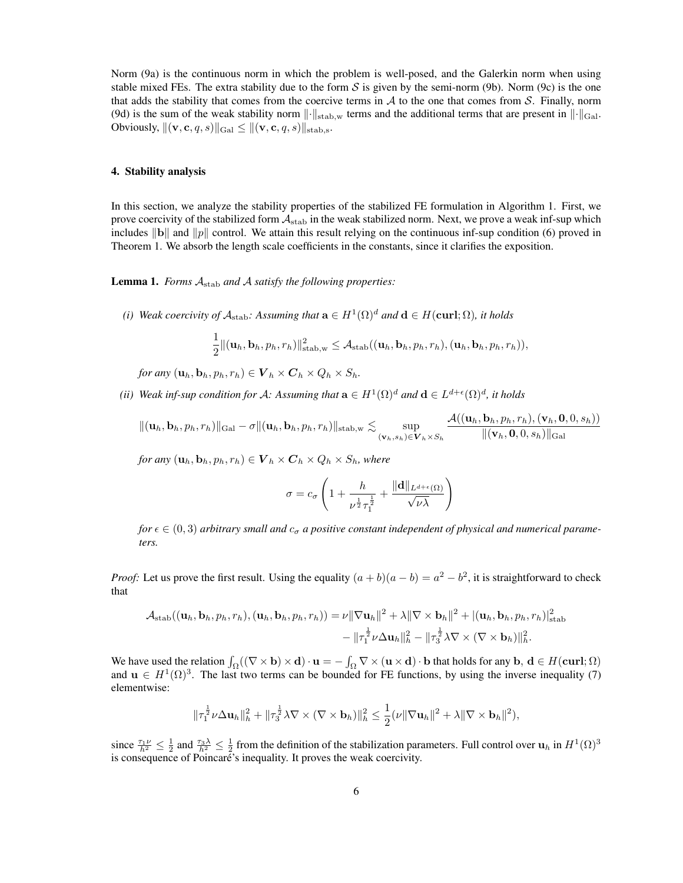Norm (9a) is the continuous norm in which the problem is well-posed, and the Galerkin norm when using stable mixed FEs. The extra stability due to the form S is given by the semi-norm (9b). Norm (9c) is the one that adds the stability that comes from the coercive terms in  $A$  to the one that comes from  $S$ . Finally, norm (9d) is the sum of the weak stability norm  $\|\cdot\|_{\text{stab},w}$  terms and the additional terms that are present in  $\|\cdot\|_{\text{Gal}}$ . Obviously,  $\|(\mathbf{v}, \mathbf{c}, q, s)\|_{\text{Gal}} \leq \|(\mathbf{v}, \mathbf{c}, q, s)\|_{\text{stab},s}.$ 

#### 4. Stability analysis

In this section, we analyze the stability properties of the stabilized FE formulation in Algorithm 1. First, we prove coercivity of the stabilized form  $A_{stab}$  in the weak stabilized norm. Next, we prove a weak inf-sup which includes  $\|\mathbf{b}\|$  and  $\|p\|$  control. We attain this result relying on the continuous inf-sup condition (6) proved in Theorem 1. We absorb the length scale coefficients in the constants, since it clarifies the exposition.

Lemma 1. *Forms* Astab *and* A *satisfy the following properties:*

*(i)* Weak coercivity of  $\mathcal{A}_{\text{stab}}$ : Assuming that  $\mathbf{a} \in H^1(\Omega)^d$  and  $\mathbf{d} \in H(\text{curl};\Omega)$ , it holds

$$
\frac{1}{2}\|(\textbf{u}_h, \textbf{b}_h, p_h, r_h)\|_{\text{stab},w}^2 \leq \mathcal{A}_{\text{stab}}((\textbf{u}_h, \textbf{b}_h, p_h, r_h), (\textbf{u}_h, \textbf{b}_h, p_h, r_h)),
$$

*for any*  $(\mathbf{u}_h, \mathbf{b}_h, p_h, r_h) \in \mathbf{V}_h \times \mathbf{C}_h \times Q_h \times S_h$ .

(*ii*) Weak inf-sup condition for A: Assuming that  $\mathbf{a} \in H^1(\Omega)^d$  and  $\mathbf{d} \in L^{d+\epsilon}(\Omega)^d$ , it holds

$$
\|(\mathbf{u}_h, \mathbf{b}_h, p_h, r_h)\|_{\text{Gal}} - \sigma \|(\mathbf{u}_h, \mathbf{b}_h, p_h, r_h)\|_{\text{stab},w} \lesssim \sup_{(\mathbf{v}_h, s_h) \in \mathbf{V}_h \times S_h} \frac{\mathcal{A}((\mathbf{u}_h, \mathbf{b}_h, p_h, r_h), (\mathbf{v}_h, \mathbf{0}, 0, s_h))}{\|(\mathbf{v}_h, \mathbf{0}, 0, s_h)\|_{\text{Gal}}}
$$

*for any*  $(\mathbf{u}_h, \mathbf{b}_h, p_h, r_h) \in \mathbf{V}_h \times \mathbf{C}_h \times Q_h \times S_h$ *, where* 

$$
\sigma = c_{\sigma} \left( 1 + \frac{h}{\nu^{\frac{1}{2}} \tau_1^{\frac{1}{2}}} + \frac{\|\mathbf{d}\|_{L^{d+\epsilon}(\Omega)}}{\sqrt{\nu \lambda}} \right)
$$

*for*  $\epsilon \in (0,3)$  *arbitrary small and*  $c_{\sigma}$  *a positive constant independent of physical and numerical parameters.*

*Proof:* Let us prove the first result. Using the equality  $(a + b)(a - b) = a^2 - b^2$ , it is straightforward to check that

$$
\mathcal{A}_{\text{stab}}((\mathbf{u}_h, \mathbf{b}_h, p_h, r_h), (\mathbf{u}_h, \mathbf{b}_h, p_h, r_h)) = \nu \|\nabla \mathbf{u}_h\|^2 + \lambda \|\nabla \times \mathbf{b}_h\|^2 + |(\mathbf{u}_h, \mathbf{b}_h, p_h, r_h)|_{\text{stab}}^2 -\|\tau_1^{\frac{1}{2}}\nu \Delta \mathbf{u}_h\|_h^2 - \|\tau_3^{\frac{1}{2}}\lambda \nabla \times (\nabla \times \mathbf{b}_h)\|_h^2.
$$

We have used the relation  $\int_{\Omega} ((\nabla \times \mathbf{b}) \times \mathbf{d}) \cdot \mathbf{u} = - \int_{\Omega} \nabla \times (\mathbf{u} \times \mathbf{d}) \cdot \mathbf{b}$  that holds for any  $\mathbf{b}, \mathbf{d} \in H(\mathbf{curl}; \Omega)$ and  $u \in H^1(\Omega)^3$ . The last two terms can be bounded for FE functions, by using the inverse inequality (7) elementwise:

$$
\|\tau_1^{\frac{1}{2}}\nu\Delta\mathbf{u}_h\|_h^2 + \|\tau_3^{\frac{1}{2}}\lambda\nabla\times(\nabla\times\mathbf{b}_h)\|_h^2 \leq \frac{1}{2}(\nu\|\nabla\mathbf{u}_h\|^2 + \lambda\|\nabla\times\mathbf{b}_h\|^2),
$$

since  $\frac{\tau_1 \nu}{h^2} \leq \frac{1}{2}$  and  $\frac{\tau_3 \lambda}{h^2} \leq \frac{1}{2}$  from the definition of the stabilization parameters. Full control over  $\mathbf{u}_h$  in  $H^1(\Omega)^3$ is consequence of Poincaré's inequality. It proves the weak coercivity.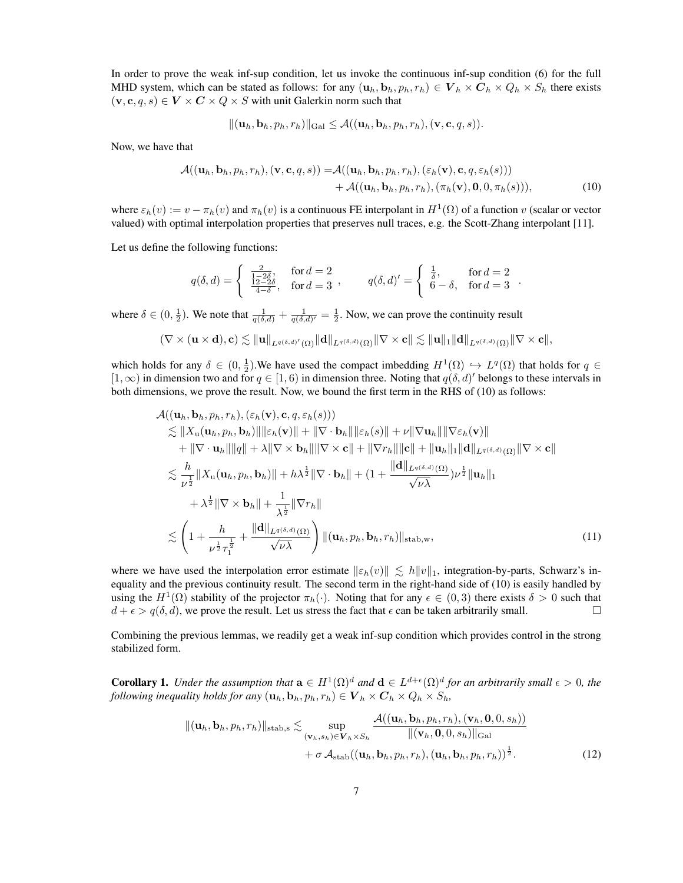In order to prove the weak inf-sup condition, let us invoke the continuous inf-sup condition (6) for the full MHD system, which can be stated as follows: for any  $(\mathbf{u}_h, \mathbf{b}_h, p_h, r_h) \in \mathbf{V}_h \times \mathbf{C}_h \times Q_h \times S_h$  there exists  $(v, c, q, s) \in V \times C \times Q \times S$  with unit Galerkin norm such that

$$
\|(\mathbf{u}_h, \mathbf{b}_h, p_h, r_h)\|_{\text{Gal}} \leq \mathcal{A}((\mathbf{u}_h, \mathbf{b}_h, p_h, r_h), (\mathbf{v}, \mathbf{c}, q, s)).
$$

Now, we have that

$$
\mathcal{A}((\mathbf{u}_h, \mathbf{b}_h, p_h, r_h), (\mathbf{v}, \mathbf{c}, q, s)) = \mathcal{A}((\mathbf{u}_h, \mathbf{b}_h, p_h, r_h), (\varepsilon_h(\mathbf{v}), \mathbf{c}, q, \varepsilon_h(s)))+ \mathcal{A}((\mathbf{u}_h, \mathbf{b}_h, p_h, r_h), (\pi_h(\mathbf{v}), \mathbf{0}, 0, \pi_h(s))),
$$
(10)

where  $\varepsilon_h(v) := v - \pi_h(v)$  and  $\pi_h(v)$  is a continuous FE interpolant in  $H^1(\Omega)$  of a function v (scalar or vector valued) with optimal interpolation properties that preserves null traces, e.g. the Scott-Zhang interpolant [11].

Let us define the following functions:

$$
q(\delta, d) = \begin{cases} \frac{2}{1-2\delta}, & \text{for } d = 2\\ \frac{12-2\delta}{4-\delta}, & \text{for } d = 3 \end{cases}, \qquad q(\delta, d)' = \begin{cases} \frac{1}{\delta}, & \text{for } d = 2\\ 6-\delta, & \text{for } d = 3 \end{cases}.
$$

where  $\delta \in (0, \frac{1}{2})$ . We note that  $\frac{1}{q(\delta, d)} + \frac{1}{q(\delta, d)'} = \frac{1}{2}$ . Now, we can prove the continuity result

$$
(\nabla \times (\mathbf{u} \times \mathbf{d}), \mathbf{c}) \lesssim \|\mathbf{u}\|_{L^{q(\delta, d)'}(\Omega)} \|\mathbf{d}\|_{L^{q(\delta, d)}(\Omega)} \|\nabla \times \mathbf{c}\| \lesssim \|\mathbf{u}\|_1 \|\mathbf{d}\|_{L^{q(\delta, d)}(\Omega)} \|\nabla \times \mathbf{c}\|,
$$

which holds for any  $\delta \in (0, \frac{1}{2})$ . We have used the compact imbedding  $H^1(\Omega) \hookrightarrow L^q(\Omega)$  that holds for  $q \in$  $[1,\infty)$  in dimension two and for  $q \in [1,6)$  in dimension three. Noting that  $q(\delta, d)'$  belongs to these intervals in both dimensions, we prove the result. Now, we bound the first term in the RHS of (10) as follows:

$$
\mathcal{A}((\mathbf{u}_h, \mathbf{b}_h, p_h, r_h), (\varepsilon_h(\mathbf{v}), \mathbf{c}, q, \varepsilon_h(s)))\n\leq ||X_{\mathbf{u}}(\mathbf{u}_h, p_h, \mathbf{b}_h)|| ||\varepsilon_h(\mathbf{v})|| + ||\nabla \cdot \mathbf{b}_h|| ||\varepsilon_h(s)|| + \nu ||\nabla \mathbf{u}_h|| ||\nabla \varepsilon_h(\mathbf{v})|| \n+ ||\nabla \cdot \mathbf{u}_h|| ||q|| + \lambda ||\nabla \times \mathbf{b}_h|| ||\nabla \times \mathbf{c}|| + ||\nabla r_h|| ||\mathbf{c}|| + ||\mathbf{u}_h||_1 ||\mathbf{d}||_{L^q(\delta, d)}(\Omega) ||\nabla \times \mathbf{c}|| \n\leq \frac{h}{\nu^{\frac{1}{2}}} ||X_{\mathbf{u}}(\mathbf{u}_h, p_h, \mathbf{b}_h)|| + h\lambda^{\frac{1}{2}} ||\nabla \cdot \mathbf{b}_h|| + (1 + \frac{||\mathbf{d}||_{L^q(\delta, d)}(\Omega)}{\sqrt{\nu \lambda}}) \nu^{\frac{1}{2}} ||\mathbf{u}_h||_1 \n+ \lambda^{\frac{1}{2}} ||\nabla \times \mathbf{b}_h|| + \frac{1}{\lambda^{\frac{1}{2}}} ||\nabla r_h|| \n\leq \left(1 + \frac{h}{\nu^{\frac{1}{2}} \tau_1^{\frac{1}{2}}} + \frac{||\mathbf{d}||_{L^q(\delta, d)}(\Omega)}{\sqrt{\nu \lambda}}\right) ||(\mathbf{u}_h, p_h, \mathbf{b}_h, r_h)||_{\text{stab},w},
$$
\n(11)

where we have used the interpolation error estimate  $\|\varepsilon_h(v)\| \leq h \|v\|_1$ , integration-by-parts, Schwarz's inequality and the previous continuity result. The second term in the right-hand side of (10) is easily handled by using the  $H^1(\Omega)$  stability of the projector  $\pi_h(\cdot)$ . Noting that for any  $\epsilon \in (0,3)$  there exists  $\delta > 0$  such that  $d + \epsilon > q(\delta, d)$ , we prove the result. Let us stress the fact that  $\epsilon$  can be taken arbitrarily small.

Combining the previous lemmas, we readily get a weak inf-sup condition which provides control in the strong stabilized form.

**Corollary 1.** Under the assumption that  $\mathbf{a} \in H^1(\Omega)^d$  and  $\mathbf{d} \in L^{d+\epsilon}(\Omega)^d$  for an arbitrarily small  $\epsilon > 0$ , the *following inequality holds for any*  $(\mathbf{u}_h, \mathbf{b}_h, p_h, r_h) \in \mathbf{V}_h \times \mathbf{C}_h \times Q_h \times S_h$ ,

$$
\|(\mathbf{u}_h, \mathbf{b}_h, p_h, r_h)\|_{\text{stab},\mathbf{s}} \lesssim \sup_{(\mathbf{v}_h, s_h) \in \mathbf{V}_h \times S_h} \frac{\mathcal{A}((\mathbf{u}_h, \mathbf{b}_h, p_h, r_h), (\mathbf{v}_h, \mathbf{0}, 0, s_h))}{\|(\mathbf{v}_h, \mathbf{0}, 0, s_h)\|_{\text{Gal}}} + \sigma \mathcal{A}_{\text{stab}}((\mathbf{u}_h, \mathbf{b}_h, p_h, r_h), (\mathbf{u}_h, \mathbf{b}_h, p_h, r_h))^{\frac{1}{2}}.
$$
 (12)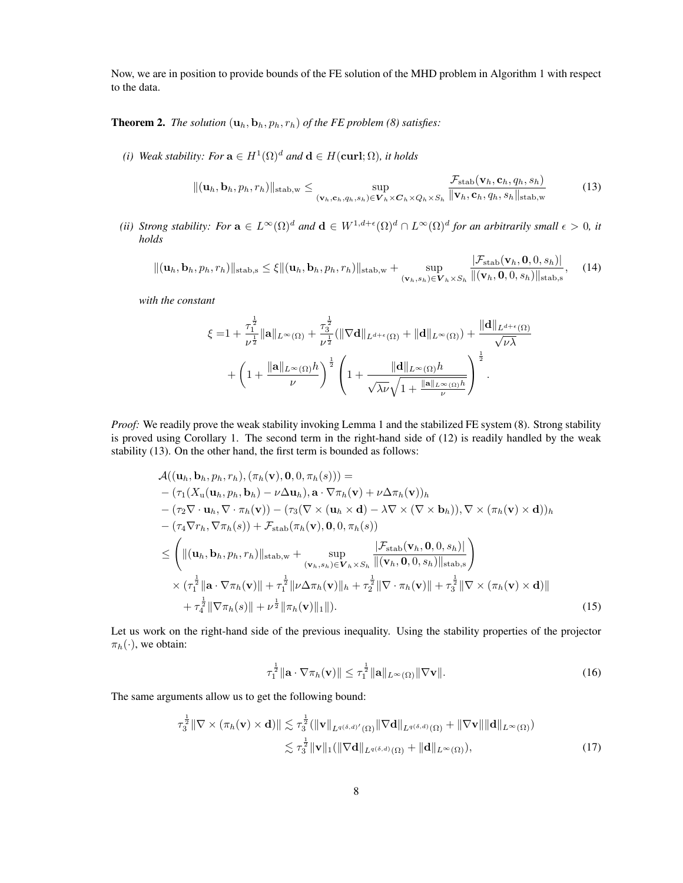Now, we are in position to provide bounds of the FE solution of the MHD problem in Algorithm 1 with respect to the data.

**Theorem 2.** *The solution*  $(\mathbf{u}_h, \mathbf{b}_h, p_h, r_h)$  *of the FE problem* (8) *satisfies:* 

*(i) Weak stability: For*  $\mathbf{a} \in H^1(\Omega)^d$  *and*  $\mathbf{d} \in H(\text{curl};\Omega)$ *, it holds* 

$$
\|(\mathbf{u}_h, \mathbf{b}_h, p_h, r_h)\|_{\text{stab},\mathbf{w}} \leq \sup_{(\mathbf{v}_h, \mathbf{c}_h, q_h, s_h) \in \mathbf{V}_h \times \mathbf{C}_h \times Q_h \times S_h} \frac{\mathcal{F}_{\text{stab}}(\mathbf{v}_h, \mathbf{c}_h, q_h, s_h)}{\|\mathbf{v}_h, \mathbf{c}_h, q_h, s_h\|_{\text{stab},\mathbf{w}}}
$$
(13)

*(ii) Strong stability: For*  $\mathbf{a} \in L^{\infty}(\Omega)^d$  and  $\mathbf{d} \in W^{1,d+\epsilon}(\Omega)^d \cap L^{\infty}(\Omega)^d$  for an arbitrarily small  $\epsilon > 0$ , it *holds*

$$
\|(\mathbf{u}_h, \mathbf{b}_h, p_h, r_h)\|_{\text{stab},\mathbf{s}} \leq \xi \|(\mathbf{u}_h, \mathbf{b}_h, p_h, r_h)\|_{\text{stab},\mathbf{w}} + \sup_{(\mathbf{v}_h, s_h) \in \mathbf{V}_h \times S_h} \frac{|\mathcal{F}_{\text{stab}}(\mathbf{v}_h, \mathbf{0}, 0, s_h)|}{\|(\mathbf{v}_h, \mathbf{0}, 0, s_h)\|_{\text{stab},\mathbf{s}}},\tag{14}
$$

*with the constant*

$$
\xi = 1 + \frac{\tau_1^{\frac{1}{2}}}{\nu^{\frac{1}{2}}} \|\mathbf{a}\|_{L^{\infty}(\Omega)} + \frac{\tau_3^{\frac{1}{2}}}{\nu^{\frac{1}{2}}} (\|\nabla \mathbf{d}\|_{L^{d+\epsilon}(\Omega)} + \|\mathbf{d}\|_{L^{\infty}(\Omega)}) + \frac{\|\mathbf{d}\|_{L^{d+\epsilon}(\Omega)}}{\sqrt{\nu \lambda}} + \left(1 + \frac{\|\mathbf{a}\|_{L^{\infty}(\Omega)} h}{\nu}\right)^{\frac{1}{2}} \left(1 + \frac{\|\mathbf{d}\|_{L^{\infty}(\Omega)} h}{\sqrt{\lambda \nu} \sqrt{1 + \frac{\|\mathbf{a}\|_{L^{\infty}(\Omega)} h}{\nu}}}\right)^{\frac{1}{2}}.
$$

*Proof:* We readily prove the weak stability invoking Lemma 1 and the stabilized FE system (8). Strong stability is proved using Corollary 1. The second term in the right-hand side of (12) is readily handled by the weak stability (13). On the other hand, the first term is bounded as follows:

$$
\mathcal{A}((\mathbf{u}_h, \mathbf{b}_h, p_h, r_h), (\pi_h(\mathbf{v}), \mathbf{0}, \mathbf{0}, \pi_h(s))) =
$$
\n
$$
- (\tau_1(X_\mathbf{u}(\mathbf{u}_h, p_h, \mathbf{b}_h) - \nu \Delta \mathbf{u}_h), \mathbf{a} \cdot \nabla \pi_h(\mathbf{v}) + \nu \Delta \pi_h(\mathbf{v}))_h
$$
\n
$$
- (\tau_2 \nabla \cdot \mathbf{u}_h, \nabla \cdot \pi_h(\mathbf{v})) - (\tau_3 (\nabla \times (\mathbf{u}_h \times \mathbf{d}) - \lambda \nabla \times (\nabla \times \mathbf{b}_h)), \nabla \times (\pi_h(\mathbf{v}) \times \mathbf{d}))_h
$$
\n
$$
- (\tau_4 \nabla r_h, \nabla \pi_h(s)) + \mathcal{F}_{\text{stab}}(\pi_h(\mathbf{v}), \mathbf{0}, 0, \pi_h(s))
$$
\n
$$
\leq \left( \|(\mathbf{u}_h, \mathbf{b}_h, p_h, r_h)\|_{\text{stab},w} + \sup_{(\mathbf{v}_h, s_h) \in \mathbf{V}_h \times S_h} \frac{|\mathcal{F}_{\text{stab}}(\mathbf{v}_h, \mathbf{0}, 0, s_h)|}{\|(\mathbf{v}_h, \mathbf{0}, 0, s_h)\|_{\text{stab},s}} \right)
$$
\n
$$
\times (\tau_1^{\frac{1}{2}} \|\mathbf{a} \cdot \nabla \pi_h(\mathbf{v})\| + \tau_1^{\frac{1}{2}} \|\nu \Delta \pi_h(\mathbf{v})\|_h + \tau_2^{\frac{1}{2}} \|\nabla \cdot \pi_h(\mathbf{v})\| + \tau_3^{\frac{1}{2}} \|\nabla \times (\pi_h(\mathbf{v}) \times \mathbf{d})\|
$$
\n
$$
+ \tau_4^{\frac{1}{2}} \|\nabla \pi_h(s)\| + \nu^{\frac{1}{2}} \|\pi_h(\mathbf{v})\|_1 \|).
$$
\n(15)

Let us work on the right-hand side of the previous inequality. Using the stability properties of the projector  $\pi_h(\cdot)$ , we obtain:

$$
\tau_1^{\frac{1}{2}} \|\mathbf{a} \cdot \nabla \pi_h(\mathbf{v})\| \leq \tau_1^{\frac{1}{2}} \|\mathbf{a}\|_{L^\infty(\Omega)} \|\nabla \mathbf{v}\|.
$$
 (16)

The same arguments allow us to get the following bound:

$$
\tau_3^{\frac{1}{2}} \|\nabla \times (\pi_h(\mathbf{v}) \times \mathbf{d})\| \lesssim \tau_3^{\frac{1}{2}} (\|\mathbf{v}\|_{L^{q(\delta,d)'}(\Omega)} \|\nabla \mathbf{d}\|_{L^{q(\delta,d)}(\Omega)} + \|\nabla \mathbf{v}\| \|\mathbf{d}\|_{L^{\infty}(\Omega)})
$$
  

$$
\lesssim \tau_3^{\frac{1}{2}} \|\mathbf{v}\|_1 (\|\nabla \mathbf{d}\|_{L^{q(\delta,d)}(\Omega)} + \|\mathbf{d}\|_{L^{\infty}(\Omega)}),
$$
 (17)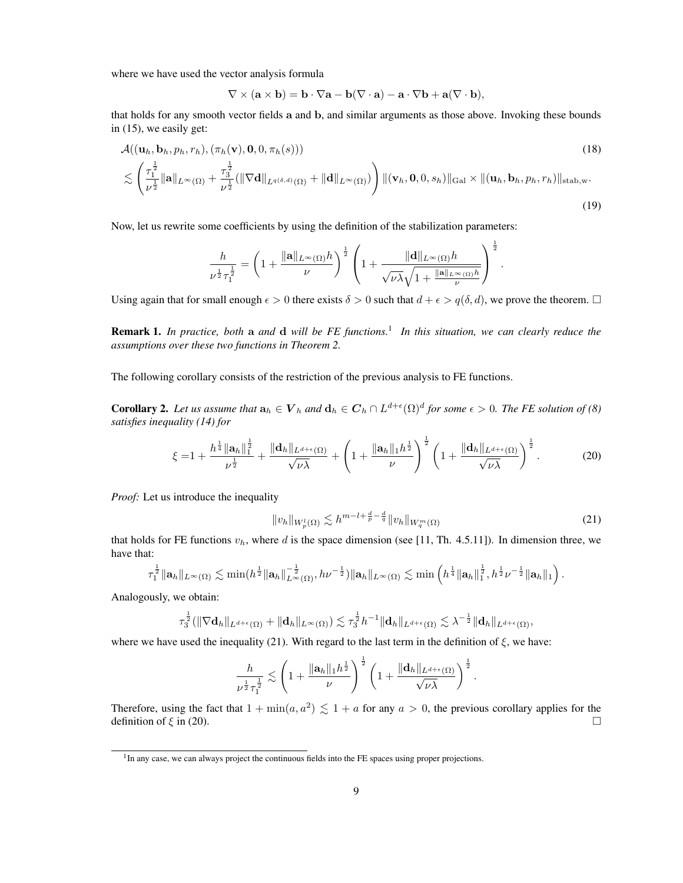where we have used the vector analysis formula

$$
\nabla \times (\mathbf{a} \times \mathbf{b}) = \mathbf{b} \cdot \nabla \mathbf{a} - \mathbf{b}(\nabla \cdot \mathbf{a}) - \mathbf{a} \cdot \nabla \mathbf{b} + \mathbf{a}(\nabla \cdot \mathbf{b}),
$$

that holds for any smooth vector fields a and b, and similar arguments as those above. Invoking these bounds in (15), we easily get:

$$
\mathcal{A}((\mathbf{u}_h, \mathbf{b}_h, p_h, r_h), (\pi_h(\mathbf{v}), \mathbf{0}, 0, \pi_h(s)))
$$
\n
$$
\lesssim \left(\frac{\tau_1^{\frac{1}{2}}}{\nu^{\frac{1}{2}}} \|\mathbf{a}\|_{L^{\infty}(\Omega)} + \frac{\tau_3^{\frac{1}{2}}}{\nu^{\frac{1}{2}}} (\|\nabla \mathbf{d}\|_{L^{q(\delta, d)}(\Omega)} + \|\mathbf{d}\|_{L^{\infty}(\Omega)})\right) \|(\mathbf{v}_h, \mathbf{0}, 0, s_h)\|_{\text{Gal}} \times \|(\mathbf{u}_h, \mathbf{b}_h, p_h, r_h)\|_{\text{stab},w}.
$$
\n(19)

Now, let us rewrite some coefficients by using the definition of the stabilization parameters:

$$
\frac{h}{\nu^{\frac{1}{2}}\tau_1^{\frac{1}{2}}}=\left(1+\frac{\|\mathbf{a}\|_{L^\infty(\Omega)}h}{\nu}\right)^{\frac{1}{2}}\left(1+\frac{\|\mathbf{d}\|_{L^\infty(\Omega)}h}{\sqrt{\nu\lambda}\sqrt{1+\frac{\|\mathbf{a}\|_{L^\infty(\Omega)}h}{\nu}}}\right)^{\frac{1}{2}}.
$$

Using again that for small enough  $\epsilon > 0$  there exists  $\delta > 0$  such that  $d + \epsilon > q(\delta, d)$ , we prove the theorem.  $\Box$ 

Remark 1. *In practice, both* a *and* d *will be FE functions.*<sup>1</sup> *In this situation, we can clearly reduce the assumptions over these two functions in Theorem 2.*

The following corollary consists of the restriction of the previous analysis to FE functions.

**Corollary 2.** Let us assume that  $a_h \in V_h$  and  $d_h \in C_h \cap L^{d+\epsilon}(\Omega)^d$  for some  $\epsilon > 0$ . The FE solution of (8) *satisfies inequality (14) for*

$$
\xi = 1 + \frac{h^{\frac{1}{4}} \|\mathbf{a}_h\|_1^{\frac{1}{2}}}{\nu^{\frac{1}{2}}} + \frac{\|\mathbf{d}_h\|_{L^{d+\epsilon}(\Omega)}}{\sqrt{\nu \lambda}} + \left(1 + \frac{\|\mathbf{a}_h\|_1 h^{\frac{1}{2}}}{\nu}\right)^{\frac{1}{2}} \left(1 + \frac{\|\mathbf{d}_h\|_{L^{d+\epsilon}(\Omega)}}{\sqrt{\nu \lambda}}\right)^{\frac{1}{2}}.
$$
 (20)

*Proof:* Let us introduce the inequality

$$
||v_h||_{W_p^l(\Omega)} \lesssim h^{m-l + \frac{d}{p} - \frac{d}{q}} ||v_h||_{W_q^m(\Omega)}
$$
\n(21)

that holds for FE functions  $v_h$ , where d is the space dimension (see [11, Th. 4.5.11]). In dimension three, we have that:

$$
\tau_1^{\frac{1}{2}}\|\mathbf{a}_h\|_{L^{\infty}(\Omega)} \lesssim \min(h^{\frac{1}{2}}\|\mathbf{a}_h\|_{L^{\infty}(\Omega)}^{-\frac{1}{2}}, h\nu^{-\frac{1}{2}})\|\mathbf{a}_h\|_{L^{\infty}(\Omega)} \lesssim \min\left(h^{\frac{1}{4}}\|\mathbf{a}_h\|_{1}^{\frac{1}{2}}, h^{\frac{1}{2}}\nu^{-\frac{1}{2}}\|\mathbf{a}_h\|_{1}\right).
$$

Analogously, we obtain:

$$
\tau_3^{\frac{1}{2}}(\|\nabla \mathbf{d}_h\|_{L^{d+\epsilon}(\Omega)} + \|\mathbf{d}_h\|_{L^{\infty}(\Omega)}) \lesssim \tau_3^{\frac{1}{2}}h^{-1} \|\mathbf{d}_h\|_{L^{d+\epsilon}(\Omega)} \lesssim \lambda^{-\frac{1}{2}} \|\mathbf{d}_h\|_{L^{d+\epsilon}(\Omega)},
$$

where we have used the inequality (21). With regard to the last term in the definition of  $\xi$ , we have:

$$
\frac{h}{\nu^{\frac{1}{2}}\tau_1^{\frac{1}{2}}} \lesssim \left(1 + \frac{\|\mathbf{a}_h\|_1 h^{\frac{1}{2}}}{\nu}\right)^{\frac{1}{2}} \left(1 + \frac{\|\mathbf{d}_h\|_{L^{d+\epsilon}(\Omega)}}{\sqrt{\nu\lambda}}\right)^{\frac{1}{2}}.
$$

Therefore, using the fact that  $1 + \min(a, a^2) \leq 1 + a$  for any  $a > 0$ , the previous corollary applies for the definition of  $\xi$  in (20).

<sup>&</sup>lt;sup>1</sup>In any case, we can always project the continuous fields into the FE spaces using proper projections.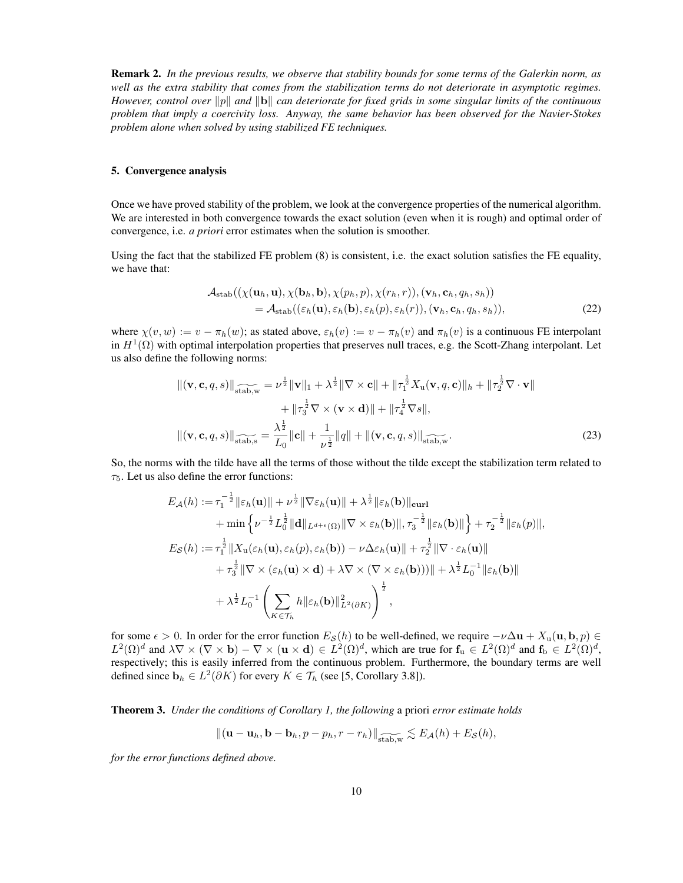Remark 2. *In the previous results, we observe that stability bounds for some terms of the Galerkin norm, as well as the extra stability that comes from the stabilization terms do not deteriorate in asymptotic regimes. However, control over*  $||p||$  and  $||b||$  can deteriorate for fixed grids in some singular limits of the continuous *problem that imply a coercivity loss. Anyway, the same behavior has been observed for the Navier-Stokes problem alone when solved by using stabilized FE techniques.*

# 5. Convergence analysis

Once we have proved stability of the problem, we look at the convergence properties of the numerical algorithm. We are interested in both convergence towards the exact solution (even when it is rough) and optimal order of convergence, i.e. *a priori* error estimates when the solution is smoother.

Using the fact that the stabilized FE problem (8) is consistent, i.e. the exact solution satisfies the FE equality, we have that:

$$
\mathcal{A}_{\text{stab}}((\chi(\mathbf{u}_h, \mathbf{u}), \chi(\mathbf{b}_h, \mathbf{b}), \chi(p_h, p), \chi(r_h, r)), (\mathbf{v}_h, \mathbf{c}_h, q_h, s_h))
$$
  
=  $\mathcal{A}_{\text{stab}}((\varepsilon_h(\mathbf{u}), \varepsilon_h(\mathbf{b}), \varepsilon_h(p), \varepsilon_h(r)), (\mathbf{v}_h, \mathbf{c}_h, q_h, s_h)),$  (22)

where  $\chi(v, w) := v - \pi_h(w)$ ; as stated above,  $\varepsilon_h(v) := v - \pi_h(v)$  and  $\pi_h(v)$  is a continuous FE interpolant in  $H^1(\Omega)$  with optimal interpolation properties that preserves null traces, e.g. the Scott-Zhang interpolant. Let us also define the following norms:

$$
\|(\mathbf{v}, \mathbf{c}, q, s)\|_{\widehat{\text{stab},w}} = \nu^{\frac{1}{2}} \|\mathbf{v}\|_{1} + \lambda^{\frac{1}{2}} \|\nabla \times \mathbf{c}\| + \|\tau_{1}^{\frac{1}{2}} X_{\mathbf{u}}(\mathbf{v}, q, \mathbf{c})\|_{h} + \|\tau_{2}^{\frac{1}{2}} \nabla \cdot \mathbf{v}\| + \|\tau_{3}^{\frac{1}{2}} \nabla \times (\mathbf{v} \times \mathbf{d})\| + \|\tau_{4}^{\frac{1}{2}} \nabla s\|,
$$
  

$$
\|(\mathbf{v}, \mathbf{c}, q, s)\|_{\widehat{\text{stab},s}} = \frac{\lambda^{\frac{1}{2}}}{L_{0}} \|\mathbf{c}\| + \frac{1}{\nu^{\frac{1}{2}}} \|q\| + \|(\mathbf{v}, \mathbf{c}, q, s)\|_{\widehat{\text{stab},w}}.
$$
 (23)

So, the norms with the tilde have all the terms of those without the tilde except the stabilization term related to  $\tau_5$ . Let us also define the error functions:

$$
E_{\mathcal{A}}(h) := \tau_1^{-\frac{1}{2}} \|\varepsilon_h(\mathbf{u})\| + \nu^{\frac{1}{2}} \|\nabla \varepsilon_h(\mathbf{u})\| + \lambda^{\frac{1}{2}} \|\varepsilon_h(\mathbf{b})\|_{\text{curl}}
$$
  
+ min  $\left\{ \nu^{-\frac{1}{2}} L_0^{\frac{1}{2}} \|\mathbf{d}\|_{L^{d+\epsilon}(\Omega)} \|\nabla \times \varepsilon_h(\mathbf{b})\|, \tau_3^{-\frac{1}{2}} \|\varepsilon_h(\mathbf{b})\| \right\} + \tau_2^{-\frac{1}{2}} \|\varepsilon_h(p)\|,$   

$$
E_{\mathcal{S}}(h) := \tau_1^{\frac{1}{2}} \|\mathbf{X}_{\mathbf{u}}(\varepsilon_h(\mathbf{u}), \varepsilon_h(p), \varepsilon_h(\mathbf{b})) - \nu \Delta \varepsilon_h(\mathbf{u})\| + \tau_2^{\frac{1}{2}} \|\nabla \cdot \varepsilon_h(\mathbf{u})\|
$$
  
+  $\tau_3^{\frac{1}{2}} \|\nabla \times (\varepsilon_h(\mathbf{u}) \times \mathbf{d}) + \lambda \nabla \times (\nabla \times \varepsilon_h(\mathbf{b}))\| + \lambda^{\frac{1}{2}} L_0^{-1} \|\varepsilon_h(\mathbf{b})\|$   
+  $\lambda^{\frac{1}{2}} L_0^{-1} \left( \sum_{K \in \mathcal{T}_h} h \|\varepsilon_h(\mathbf{b})\|_{L^2(\partial K)}^2 \right)^{\frac{1}{2}},$ 

for some  $\epsilon > 0$ . In order for the error function  $E_{\mathcal{S}}(h)$  to be well-defined, we require  $-\nu \Delta \mathbf{u} + X_{\mathbf{u}}(\mathbf{u}, \mathbf{b}, p) \in$  $L^2(\Omega)^d$  and  $\lambda \nabla \times (\nabla \times \mathbf{b}) - \nabla \times (\mathbf{u} \times \mathbf{d}) \in L^2(\Omega)^d$ , which are true for  $\mathbf{f}_\mathrm{u} \in L^2(\Omega)^d$  and  $\mathbf{f}_\mathrm{b} \in L^2(\Omega)^d$ , respectively; this is easily inferred from the continuous problem. Furthermore, the boundary terms are well defined since  $\mathbf{b}_h \in L^2(\partial K)$  for every  $K \in \mathcal{T}_h$  (see [5, Corollary 3.8]).

Theorem 3. *Under the conditions of Corollary 1, the following* a priori *error estimate holds*

$$
\|(\mathbf{u}-\mathbf{u}_h,\mathbf{b}-\mathbf{b}_h,p-p_h,r-r_h)\|_{\text{stab},w} \lesssim E_{\mathcal{A}}(h) + E_{\mathcal{S}}(h),
$$

*for the error functions defined above.*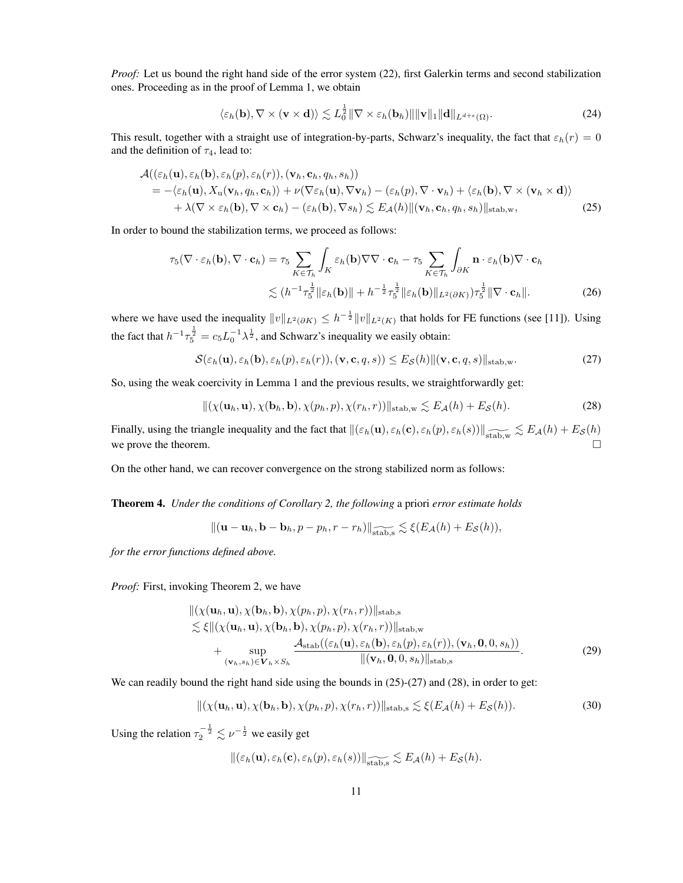*Proof:* Let us bound the right hand side of the error system (22), first Galerkin terms and second stabilization ones. Proceeding as in the proof of Lemma 1, we obtain

$$
\langle \varepsilon_h(\mathbf{b}), \nabla \times (\mathbf{v} \times \mathbf{d}) \rangle \lesssim L_0^{\frac{1}{2}} \| \nabla \times \varepsilon_h(\mathbf{b}_h) \| \| \mathbf{v} \|_1 \| \mathbf{d} \|_{L^{d+\epsilon}(\Omega)}.
$$
 (24)

This result, together with a straight use of integration-by-parts, Schwarz's inequality, the fact that  $\varepsilon_h(r) = 0$ and the definition of  $\tau_4$ , lead to:

$$
\mathcal{A}((\varepsilon_h(\mathbf{u}), \varepsilon_h(\mathbf{b}), \varepsilon_h(p), \varepsilon_h(r)), (\mathbf{v}_h, \mathbf{c}_h, q_h, s_h))
$$
\n
$$
= -\langle \varepsilon_h(\mathbf{u}), X_{\mathbf{u}}(\mathbf{v}_h, q_h, \mathbf{c}_h) \rangle + \nu(\nabla \varepsilon_h(\mathbf{u}), \nabla \mathbf{v}_h) - (\varepsilon_h(p), \nabla \cdot \mathbf{v}_h) + \langle \varepsilon_h(\mathbf{b}), \nabla \times (\mathbf{v}_h \times \mathbf{d}) \rangle
$$
\n
$$
+ \lambda(\nabla \times \varepsilon_h(\mathbf{b}), \nabla \times \mathbf{c}_h) - (\varepsilon_h(\mathbf{b}), \nabla s_h) \lesssim E_{\mathcal{A}}(h) \|(\mathbf{v}_h, \mathbf{c}_h, q_h, s_h)\|_{\text{stab},w},
$$
\n(25)

In order to bound the stabilization terms, we proceed as follows:

$$
\tau_5(\nabla \cdot \varepsilon_h(\mathbf{b}), \nabla \cdot \mathbf{c}_h) = \tau_5 \sum_{K \in \mathcal{T}_h} \int_K \varepsilon_h(\mathbf{b}) \nabla \nabla \cdot \mathbf{c}_h - \tau_5 \sum_{K \in \mathcal{T}_h} \int_{\partial K} \mathbf{n} \cdot \varepsilon_h(\mathbf{b}) \nabla \cdot \mathbf{c}_h
$$
  
 
$$
\lesssim (h^{-1} \tau_5^{\frac{1}{2}} \| \varepsilon_h(\mathbf{b}) \| + h^{-\frac{1}{2}} \tau_5^{\frac{1}{2}} \| \varepsilon_h(\mathbf{b}) \|_{L^2(\partial K)}) \tau_5^{\frac{1}{2}} \| \nabla \cdot \mathbf{c}_h \|.
$$
 (26)

where we have used the inequality  $||v||_{L^2(\partial K)} \leq h^{-\frac{1}{2}} ||v||_{L^2(K)}$  that holds for FE functions (see [11]). Using the fact that  $h^{-1}\tau_5^{\frac{1}{2}} = c_5 L_0^{-1} \lambda^{\frac{1}{2}}$ , and Schwarz's inequality we easily obtain:

$$
\mathcal{S}(\varepsilon_h(\mathbf{u}), \varepsilon_h(\mathbf{b}), \varepsilon_h(p), \varepsilon_h(r)), (\mathbf{v}, \mathbf{c}, q, s)) \leq E_{\mathcal{S}}(h) \|(\mathbf{v}, \mathbf{c}, q, s)\|_{\text{stab}, \mathbf{w}}.
$$

So, using the weak coercivity in Lemma 1 and the previous results, we straightforwardly get:

$$
\|(\chi(\mathbf{u}_h,\mathbf{u}),\chi(\mathbf{b}_h,\mathbf{b}),\chi(p_h,p),\chi(r_h,r))\|_{\text{stab,w}} \lesssim E_{\mathcal{A}}(h) + E_{\mathcal{S}}(h). \tag{28}
$$

Finally, using the triangle inequality and the fact that  $\|(\varepsilon_h(\mathbf{u}), \varepsilon_h(\mathbf{c}), \varepsilon_h(p), \varepsilon_h(s))\|_{\widetilde{\text{stab},w}} \lesssim E_{\mathcal{A}}(h) + E_{\mathcal{S}}(h)$ we prove the theorem.  $\Box$ 

On the other hand, we can recover convergence on the strong stabilized norm as follows:

Theorem 4. *Under the conditions of Corollary 2, the following* a priori *error estimate holds*

$$
\|(\mathbf{u}-\mathbf{u}_h,\mathbf{b}-\mathbf{b}_h,p-p_h,r-r_h)\|_{\widetilde{\text{stab},\mathbf{s}}}\lesssim \xi(E_{\mathcal{A}}(h)+E_{\mathcal{S}}(h)),
$$

*for the error functions defined above.*

*Proof:* First, invoking Theorem 2, we have

$$
\|(\chi(\mathbf{u}_h, \mathbf{u}), \chi(\mathbf{b}_h, \mathbf{b}), \chi(p_h, p), \chi(r_h, r))\|_{\text{stab},s} \n\lesssim \xi \|(\chi(\mathbf{u}_h, \mathbf{u}), \chi(\mathbf{b}_h, \mathbf{b}), \chi(p_h, p), \chi(r_h, r))\|_{\text{stab},w} \n+ \sup_{(\mathbf{v}_h, s_h) \in \mathbf{V}_h \times S_h} \frac{\mathcal{A}_{\text{stab}}((\varepsilon_h(\mathbf{u}), \varepsilon_h(\mathbf{b}), \varepsilon_h(p), \varepsilon_h(r)), (\mathbf{v}_h, \mathbf{0}, 0, s_h))}{\|(\mathbf{v}_h, \mathbf{0}, 0, s_h)\|_{\text{stab},s}}.
$$
\n(29)

We can readily bound the right hand side using the bounds in  $(25)-(27)$  and  $(28)$ , in order to get:

$$
\|(\chi(\mathbf{u}_h,\mathbf{u}),\chi(\mathbf{b}_h,\mathbf{b}),\chi(p_h,p),\chi(r_h,r))\|_{\text{stab},\mathbf{s}} \lesssim \xi(E_{\mathcal{A}}(h)+E_{\mathcal{S}}(h)).\tag{30}
$$

Using the relation  $\tau_2^{-\frac{1}{2}} \lesssim \nu^{-\frac{1}{2}}$  we easily get

 $\|(\varepsilon_h(\mathbf{u}), \varepsilon_h(\mathbf{c}), \varepsilon_h(p), \varepsilon_h(s))\|_{\widetilde{\text{stab}},\mathbf{s}} \lesssim E_{\mathcal{A}}(h) + E_{\mathcal{S}}(h).$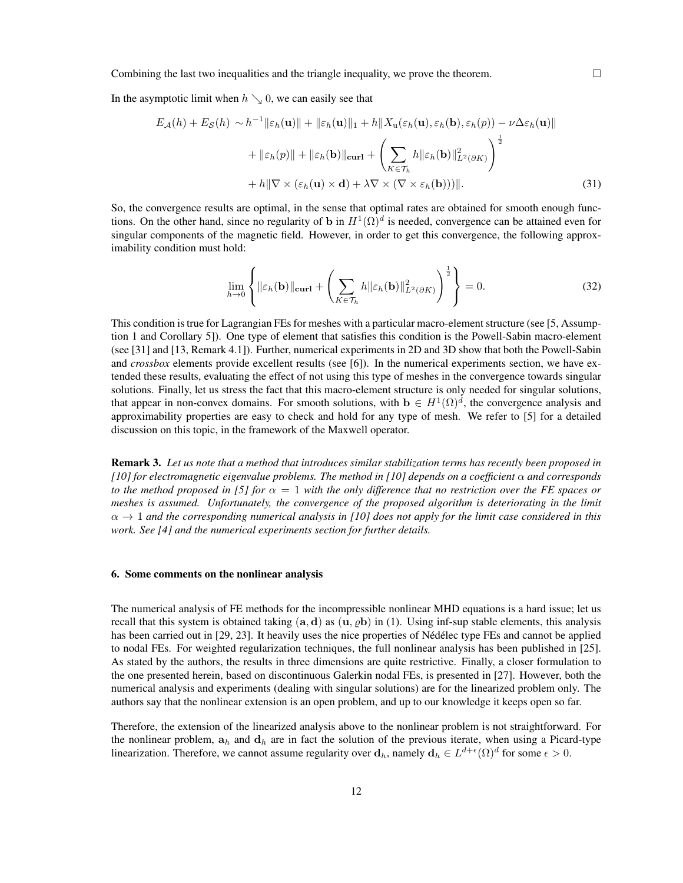Combining the last two inequalities and the triangle inequality, we prove the theorem.  $\Box$ 

In the asymptotic limit when  $h \searrow 0$ , we can easily see that

$$
E_{\mathcal{A}}(h) + E_{\mathcal{S}}(h) \sim h^{-1} \|\varepsilon_h(\mathbf{u})\| + \|\varepsilon_h(\mathbf{u})\|_1 + h \|X_{\mathbf{u}}(\varepsilon_h(\mathbf{u}), \varepsilon_h(\mathbf{b}), \varepsilon_h(p)) - \nu \Delta \varepsilon_h(\mathbf{u})\|
$$
  
+ 
$$
\|\varepsilon_h(p)\| + \|\varepsilon_h(\mathbf{b})\|_{\text{curl}} + \left(\sum_{K \in \mathcal{T}_h} h \|\varepsilon_h(\mathbf{b})\|_{L^2(\partial K)}^2\right)^{\frac{1}{2}}
$$
  
+ 
$$
h \|\nabla \times (\varepsilon_h(\mathbf{u}) \times \mathbf{d}) + \lambda \nabla \times (\nabla \times \varepsilon_h(\mathbf{b}))\|.
$$
 (31)

So, the convergence results are optimal, in the sense that optimal rates are obtained for smooth enough functions. On the other hand, since no regularity of b in  $H^1(\Omega)^d$  is needed, convergence can be attained even for singular components of the magnetic field. However, in order to get this convergence, the following approximability condition must hold:

$$
\lim_{h \to 0} \left\{ \|\varepsilon_h(\mathbf{b})\|_{\mathbf{curl}} + \left(\sum_{K \in \mathcal{T}_h} h \|\varepsilon_h(\mathbf{b})\|_{L^2(\partial K)}^2 \right)^{\frac{1}{2}} \right\} = 0.
$$
\n(32)

This condition is true for Lagrangian FEs for meshes with a particular macro-element structure (see [5, Assumption 1 and Corollary 5]). One type of element that satisfies this condition is the Powell-Sabin macro-element (see [31] and [13, Remark 4.1]). Further, numerical experiments in 2D and 3D show that both the Powell-Sabin and *crossbox* elements provide excellent results (see [6]). In the numerical experiments section, we have extended these results, evaluating the effect of not using this type of meshes in the convergence towards singular solutions. Finally, let us stress the fact that this macro-element structure is only needed for singular solutions, that appear in non-convex domains. For smooth solutions, with  $\mathbf{b} \in H^1(\Omega)^d$ , the convergence analysis and approximability properties are easy to check and hold for any type of mesh. We refer to [5] for a detailed discussion on this topic, in the framework of the Maxwell operator.

Remark 3. *Let us note that a method that introduces similar stabilization terms has recently been proposed in [10] for electromagnetic eigenvalue problems. The method in [10] depends on a coefficient* α *and corresponds to the method proposed in [5] for*  $\alpha = 1$  *with the only difference that no restriction over the FE spaces or meshes is assumed. Unfortunately, the convergence of the proposed algorithm is deteriorating in the limit*  $\alpha \to 1$  and the corresponding numerical analysis in [10] does not apply for the limit case considered in this *work. See [4] and the numerical experiments section for further details.*

#### 6. Some comments on the nonlinear analysis

The numerical analysis of FE methods for the incompressible nonlinear MHD equations is a hard issue; let us recall that this system is obtained taking  $(a, d)$  as  $(u, \rho b)$  in (1). Using inf-sup stable elements, this analysis has been carried out in  $[29, 23]$ . It heavily uses the nice properties of Nédélec type FEs and cannot be applied to nodal FEs. For weighted regularization techniques, the full nonlinear analysis has been published in [25]. As stated by the authors, the results in three dimensions are quite restrictive. Finally, a closer formulation to the one presented herein, based on discontinuous Galerkin nodal FEs, is presented in [27]. However, both the numerical analysis and experiments (dealing with singular solutions) are for the linearized problem only. The authors say that the nonlinear extension is an open problem, and up to our knowledge it keeps open so far.

Therefore, the extension of the linearized analysis above to the nonlinear problem is not straightforward. For the nonlinear problem,  $a_h$  and  $d_h$  are in fact the solution of the previous iterate, when using a Picard-type linearization. Therefore, we cannot assume regularity over  $\mathbf{d}_h$ , namely  $\mathbf{d}_h \in L^{d+\epsilon}(\Omega)^d$  for some  $\epsilon > 0$ .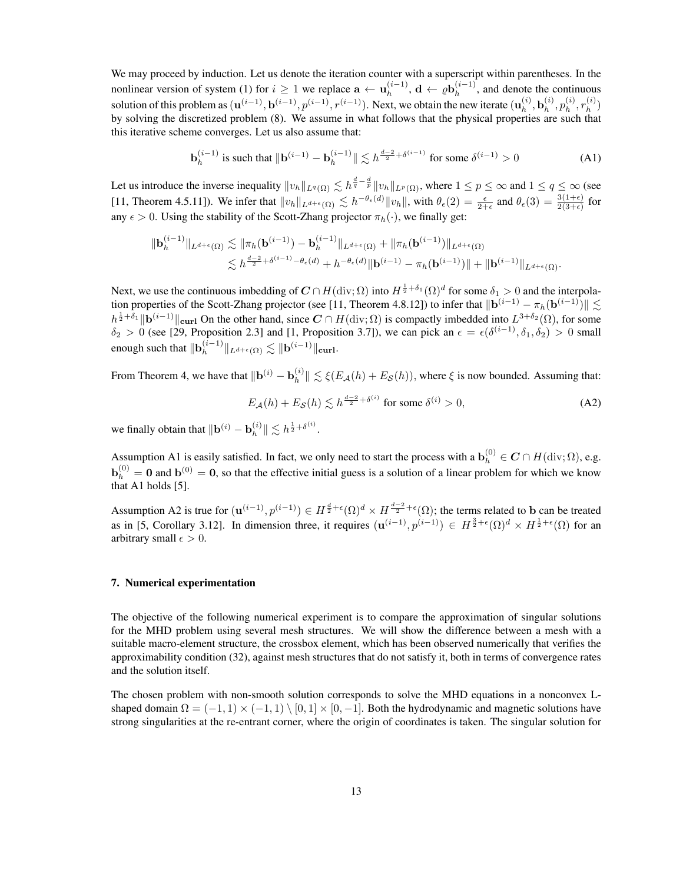We may proceed by induction. Let us denote the iteration counter with a superscript within parentheses. In the nonlinear version of system (1) for  $i \geq 1$  we replace  $\mathbf{a} \leftarrow \mathbf{u}_{h}^{(i-1)}$  $_h^{(i-1)},$   $\mathrm{d}\leftarrow\varrho\mathrm{b}_h^{(i-1)}$  $h^{(i-1)}$ , and denote the continuous solution of this problem as  $(\mathbf{u}^{(i-1)}, \mathbf{b}^{(i-1)}, p^{(i-1)}, r^{(i-1)})$ . Next, we obtain the new iterate  $(\mathbf{u}_h^{(i)})$  $_h^{(i)}, \mathbf{b}_h^{(i)}$  $\binom{i}{h},p_h^{(i)}$  $\mathcal{r}_h^{(i)},r_h^{(i)}$  $\binom{u}{h}$ by solving the discretized problem (8). We assume in what follows that the physical properties are such that this iterative scheme converges. Let us also assume that:

$$
\mathbf{b}_{h}^{(i-1)} \text{ is such that } \|\mathbf{b}^{(i-1)} - \mathbf{b}_{h}^{(i-1)}\| \lesssim h^{\frac{d-2}{2} + \delta^{(i-1)}} \text{ for some } \delta^{(i-1)} > 0 \tag{A1}
$$

Let us introduce the inverse inequality  $||v_h||_{L^q(\Omega)} \lesssim h^{\frac{d}{q}-\frac{d}{p}} ||v_h||_{L^p(\Omega)}$ , where  $1 \leq p \leq \infty$  and  $1 \leq q \leq \infty$  (see [11, Theorem 4.5.11]). We infer that  $||v_h||_{L^{d+\epsilon}(\Omega)} \lesssim h^{-\theta_{\epsilon}(d)} ||v_h||$ , with  $\theta_{\epsilon}(2) = \frac{\epsilon}{2+\epsilon}$  and  $\theta_{\epsilon}(3) = \frac{3(1+\epsilon)}{2(3+\epsilon)}$  for any  $\epsilon > 0$ . Using the stability of the Scott-Zhang projector  $\pi_h(\cdot)$ , we finally get:

$$
\begin{aligned} \| \mathbf{b}_{h}^{(i-1)} \|_{L^{d+\epsilon}(\Omega)} &\lesssim \| \pi_{h}(\mathbf{b}^{(i-1)}) - \mathbf{b}_{h}^{(i-1)} \|_{L^{d+\epsilon}(\Omega)} + \| \pi_{h}(\mathbf{b}^{(i-1)}) \|_{L^{d+\epsilon}(\Omega)} \\ &\lesssim h^{\frac{d-2}{2} + \delta^{(i-1)} - \theta_{\epsilon}(d)} + h^{-\theta_{\epsilon}(d)} \| \mathbf{b}^{(i-1)} - \pi_{h}(\mathbf{b}^{(i-1)}) \| + \| \mathbf{b}^{(i-1)} \|_{L^{d+\epsilon}(\Omega)}. \end{aligned}
$$

Next, we use the continuous imbedding of  $C \cap H(\text{div};\Omega)$  into  $H^{\frac{1}{2}+\delta_1}(\Omega)^d$  for some  $\delta_1 > 0$  and the interpolation properties of the Scott-Zhang projector (see [11, Theorem 4.8.12]) to infer that  $\|\mathbf{b}^{(i-1)} - \pi_h(\mathbf{b}^{(i-1)})\|$  $h^{\frac{1}{2}+\delta_1}$  ||**b**<sup>(i-1)</sup> ||curl On the other hand, since  $C \cap H(\text{div}; \Omega)$  is compactly imbedded into  $L^{3+\delta_2}(\Omega)$ , for some  $\delta_2 > 0$  (see [29, Proposition 2.3] and [1, Proposition 3.7]), we can pick an  $\epsilon = \epsilon(\delta^{(i-1)}, \delta_1, \delta_2) > 0$  small enough such that  $\|\mathbf{b}_h^{(i-1)}\|$  $_h^{(i-1)} \|_{L^{d+\epsilon}(\Omega)} \lesssim \| \mathbf{b}^{(i-1)} \|_{\textbf{curl}}.$ 

From Theorem 4, we have that  $\|\mathbf{b}^{(i)} - \mathbf{b}_h^{(i)}\|$  $\|h_h^{(i)}\| \lesssim \xi(E_{\mathcal{A}}(h) + E_{\mathcal{S}}(h))$ , where  $\xi$  is now bounded. Assuming that:

$$
E_{\mathcal{A}}(h) + E_{\mathcal{S}}(h) \lesssim h^{\frac{d-2}{2} + \delta^{(i)}} \text{ for some } \delta^{(i)} > 0,
$$
\n(A2)

we finally obtain that  $\|\mathbf{b}^{(i)} - \mathbf{b}_h^{(i)}\|$  $\| h^{(i)} \| \lesssim h^{\frac{1}{2} + \delta^{(i)}}.$ 

Assumption A1 is easily satisfied. In fact, we only need to start the process with a  $\mathbf{b}_h^{(0)} \in \mathbf{C} \cap H(\text{div};\Omega)$ , e.g.  $\mathbf{b}_h^{(0)} = \mathbf{0}$  and  $\mathbf{b}^{(0)} = \mathbf{0}$ , so that the effective initial guess is a solution of a linear problem for which we know that A1 holds [5].

Assumption A2 is true for  $(\mathbf{u}^{(i-1)}, p^{(i-1)}) \in H^{\frac{d}{2}+\epsilon}(\Omega)^d \times H^{\frac{d-2}{2}+\epsilon}(\Omega)$ ; the terms related to b can be treated as in [5, Corollary 3.12]. In dimension three, it requires  $(\mathbf{u}^{(i-1)}, p^{(i-1)}) \in H^{\frac{3}{2}+\epsilon}(\Omega)^d \times H^{\frac{1}{2}+\epsilon}(\Omega)$  for an arbitrary small  $\epsilon > 0$ .

## 7. Numerical experimentation

The objective of the following numerical experiment is to compare the approximation of singular solutions for the MHD problem using several mesh structures. We will show the difference between a mesh with a suitable macro-element structure, the crossbox element, which has been observed numerically that verifies the approximability condition (32), against mesh structures that do not satisfy it, both in terms of convergence rates and the solution itself.

The chosen problem with non-smooth solution corresponds to solve the MHD equations in a nonconvex Lshaped domain  $\Omega = (-1, 1) \times (-1, 1) \setminus [0, 1] \times [0, -1]$ . Both the hydrodynamic and magnetic solutions have strong singularities at the re-entrant corner, where the origin of coordinates is taken. The singular solution for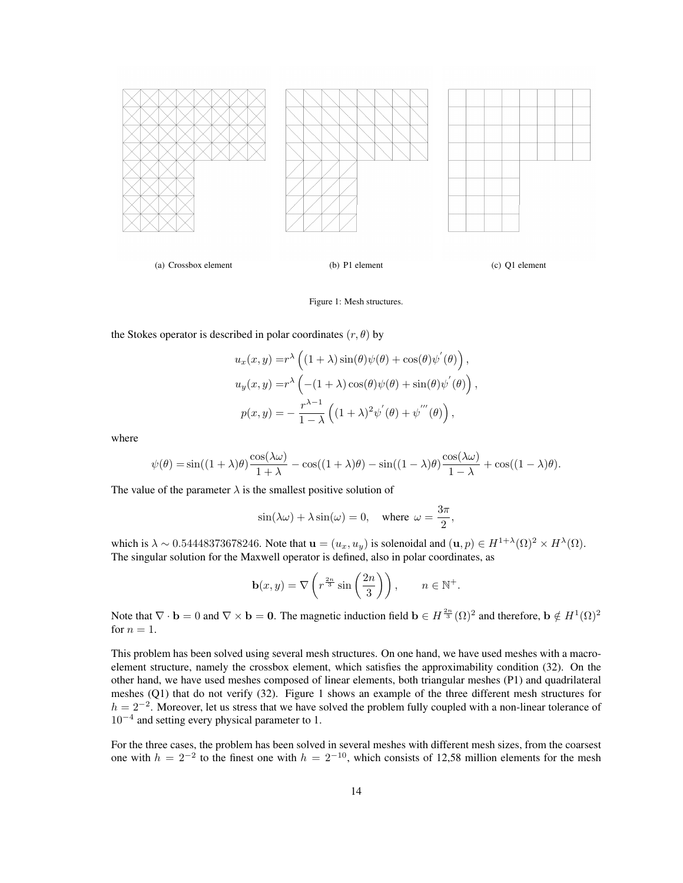

Figure 1: Mesh structures.

the Stokes operator is described in polar coordinates  $(r, \theta)$  by

$$
u_x(x, y) = r^{\lambda} \left( (1 + \lambda) \sin(\theta) \psi(\theta) + \cos(\theta) \psi'(\theta) \right),
$$
  
\n
$$
u_y(x, y) = r^{\lambda} \left( -(1 + \lambda) \cos(\theta) \psi(\theta) + \sin(\theta) \psi'(\theta) \right),
$$
  
\n
$$
p(x, y) = -\frac{r^{\lambda - 1}}{1 - \lambda} \left( (1 + \lambda)^2 \psi'(\theta) + \psi'''(\theta) \right),
$$

where

$$
\psi(\theta) = \sin((1+\lambda)\theta)\frac{\cos(\lambda\omega)}{1+\lambda} - \cos((1+\lambda)\theta) - \sin((1-\lambda)\theta)\frac{\cos(\lambda\omega)}{1-\lambda} + \cos((1-\lambda)\theta).
$$

The value of the parameter  $\lambda$  is the smallest positive solution of

$$
\sin(\lambda \omega) + \lambda \sin(\omega) = 0
$$
, where  $\omega = \frac{3\pi}{2}$ ,

which is  $\lambda \sim 0.54448373678246$ . Note that  $\mathbf{u} = (u_x, u_y)$  is solenoidal and  $(\mathbf{u}, p) \in H^{1+\lambda}(\Omega)^2 \times H^{\lambda}(\Omega)$ . The singular solution for the Maxwell operator is defined, also in polar coordinates, as

$$
\mathbf{b}(x,y) = \nabla \left( r^{\frac{2n}{3}} \sin \left( \frac{2n}{3} \right) \right), \qquad n \in \mathbb{N}^+.
$$

Note that  $\nabla \cdot \mathbf{b} = 0$  and  $\nabla \times \mathbf{b} = \mathbf{0}$ . The magnetic induction field  $\mathbf{b} \in H^{\frac{2n}{3}}(\Omega)^2$  and therefore,  $\mathbf{b} \notin H^1(\Omega)^2$ for  $n = 1$ .

This problem has been solved using several mesh structures. On one hand, we have used meshes with a macroelement structure, namely the crossbox element, which satisfies the approximability condition (32). On the other hand, we have used meshes composed of linear elements, both triangular meshes (P1) and quadrilateral meshes (Q1) that do not verify (32). Figure 1 shows an example of the three different mesh structures for  $h = 2^{-2}$ . Moreover, let us stress that we have solved the problem fully coupled with a non-linear tolerance of  $10^{-4}$  and setting every physical parameter to 1.

For the three cases, the problem has been solved in several meshes with different mesh sizes, from the coarsest one with  $h = 2^{-2}$  to the finest one with  $h = 2^{-10}$ , which consists of 12,58 million elements for the mesh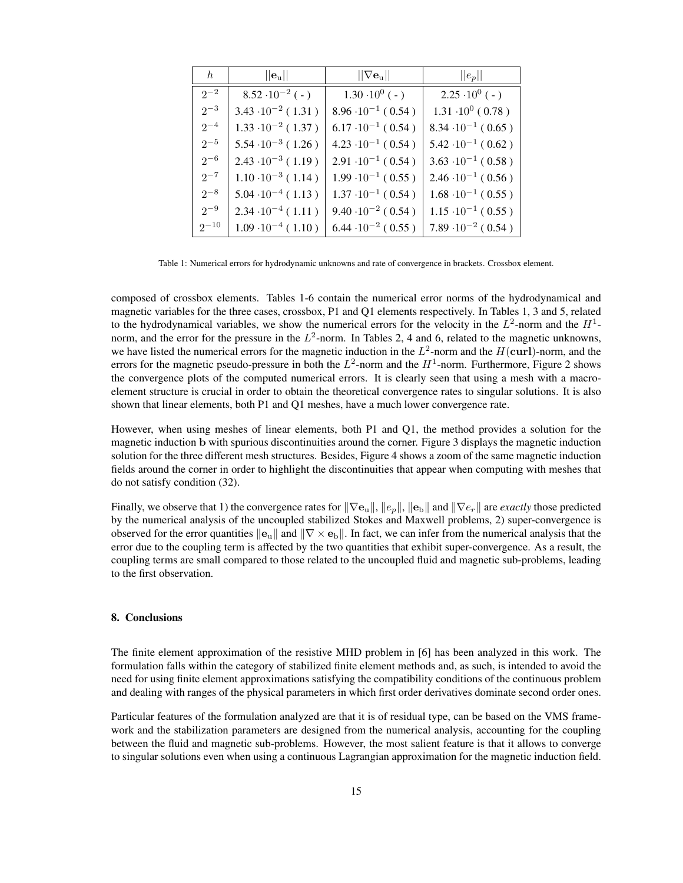| h         | $  \mathbf{e}_\mathrm{u}  $ | $\ \nabla \mathbf{e}_{\mathrm{u}}\ $ | $  e_p  $                   |
|-----------|-----------------------------|--------------------------------------|-----------------------------|
| $2^{-2}$  | $8.52 \cdot 10^{-2}$ ( - )  | $1.30 \cdot 10^{0}$ ( - )            | $2.25 \cdot 10^{0}$ ( - )   |
| $2^{-3}$  | $3.43 \cdot 10^{-2}$ (1.31) | $8.96 \cdot 10^{-1} (0.54)$          | $1.31 \cdot 10^{0}$ (0.78)  |
| $2^{-4}$  | $1.33 \cdot 10^{-2}$ (1.37) | $6.17 \cdot 10^{-1} (0.54)$          | $8.34 \cdot 10^{-1} (0.65)$ |
| $2^{-5}$  | $5.54 \cdot 10^{-3}$ (1.26) | $4.23 \cdot 10^{-1} (0.54)$          | $5.42 \cdot 10^{-1} (0.62)$ |
| $2^{-6}$  | $2.43 \cdot 10^{-3}$ (1.19) | $2.91 \cdot 10^{-1} (0.54)$          | $3.63 \cdot 10^{-1} (0.58)$ |
| $2^{-7}$  | $1.10 \cdot 10^{-3}$ (1.14) | $1.99 \cdot 10^{-1} (0.55)$          | $2.46 \cdot 10^{-1} (0.56)$ |
| $2^{-8}$  | $5.04 \cdot 10^{-4}$ (1.13) | $1.37 \cdot 10^{-1}$ (0.54)          | $1.68 \cdot 10^{-1} (0.55)$ |
| $2^{-9}$  | $2.34 \cdot 10^{-4}$ (1.11) | $9.40 \cdot 10^{-2} (0.54)$          | $1.15 \cdot 10^{-1} (0.55)$ |
| $2^{-10}$ | $1.09 \cdot 10^{-4}$ (1.10) | $6.44 \cdot 10^{-2} (0.55)$          | $7.89 \cdot 10^{-2} (0.54)$ |

Table 1: Numerical errors for hydrodynamic unknowns and rate of convergence in brackets. Crossbox element.

composed of crossbox elements. Tables 1-6 contain the numerical error norms of the hydrodynamical and magnetic variables for the three cases, crossbox, P1 and Q1 elements respectively. In Tables 1, 3 and 5, related to the hydrodynamical variables, we show the numerical errors for the velocity in the  $L^2$ -norm and the  $H^1$ norm, and the error for the pressure in the  $L^2$ -norm. In Tables 2, 4 and 6, related to the magnetic unknowns, we have listed the numerical errors for the magnetic induction in the  $L^2$ -norm and the  $H(\text{curl})$ -norm, and the errors for the magnetic pseudo-pressure in both the  $L^2$ -norm and the  $H^1$ -norm. Furthermore, Figure 2 shows the convergence plots of the computed numerical errors. It is clearly seen that using a mesh with a macroelement structure is crucial in order to obtain the theoretical convergence rates to singular solutions. It is also shown that linear elements, both P1 and Q1 meshes, have a much lower convergence rate.

However, when using meshes of linear elements, both P1 and Q1, the method provides a solution for the magnetic induction b with spurious discontinuities around the corner. Figure 3 displays the magnetic induction solution for the three different mesh structures. Besides, Figure 4 shows a zoom of the same magnetic induction fields around the corner in order to highlight the discontinuities that appear when computing with meshes that do not satisfy condition (32).

Finally, we observe that 1) the convergence rates for  $\|\nabla e_{u}\|$ ,  $\|e_{p}\|$ ,  $\|e_{b}\|$  and  $\|\nabla e_{r}\|$  are *exactly* those predicted by the numerical analysis of the uncoupled stabilized Stokes and Maxwell problems, 2) super-convergence is observed for the error quantities  $\|\mathbf{e}_{\mathbf{u}}\|$  and  $\|\nabla \times \mathbf{e}_{\mathbf{b}}\|$ . In fact, we can infer from the numerical analysis that the error due to the coupling term is affected by the two quantities that exhibit super-convergence. As a result, the coupling terms are small compared to those related to the uncoupled fluid and magnetic sub-problems, leading to the first observation.

### 8. Conclusions

The finite element approximation of the resistive MHD problem in [6] has been analyzed in this work. The formulation falls within the category of stabilized finite element methods and, as such, is intended to avoid the need for using finite element approximations satisfying the compatibility conditions of the continuous problem and dealing with ranges of the physical parameters in which first order derivatives dominate second order ones.

Particular features of the formulation analyzed are that it is of residual type, can be based on the VMS framework and the stabilization parameters are designed from the numerical analysis, accounting for the coupling between the fluid and magnetic sub-problems. However, the most salient feature is that it allows to converge to singular solutions even when using a continuous Lagrangian approximation for the magnetic induction field.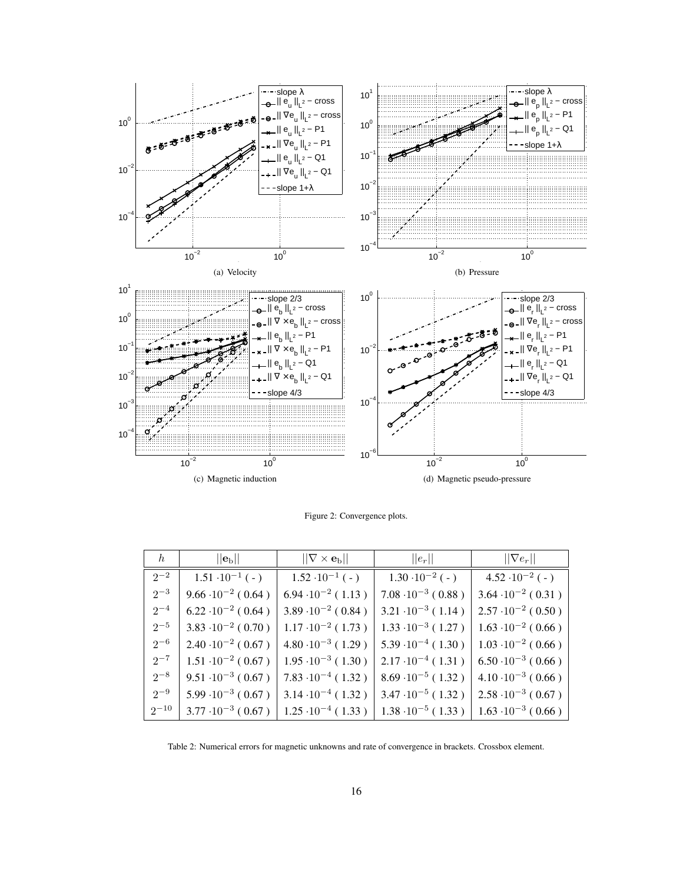

Figure 2: Convergence plots.

| $\hbar$   | $  \mathbf{e}_{\text{b}}  $   | $  \nabla \times \mathbf{e}_{\text{b}}  $                       | $  e_r  $                     | $\ \nabla e_r\ $              |
|-----------|-------------------------------|-----------------------------------------------------------------|-------------------------------|-------------------------------|
| $2^{-2}$  | $1.51 \cdot 10^{-1}$ (-)      | $1.52 \cdot 10^{-1}$ ( - )                                      | $1.30 \cdot 10^{-2}$ ( - )    | $4.52 \cdot 10^{-2}$ ( - )    |
| $2^{-3}$  | $9.66 \cdot 10^{-2} (0.64)$   | $6.94 \cdot 10^{-2}$ (1.13)                                     | $7.08 \cdot 10^{-3}$ ( 0.88 ) | $3.64 \cdot 10^{-2} (0.31)$   |
| $2^{-4}$  | $6.22 \cdot 10^{-2}$ (0.64)   | $3.89 \cdot 10^{-2}$ (0.84)                                     | $3.21 \cdot 10^{-3}$ (1.14)   | $2.57 \cdot 10^{-2} (0.50)$   |
| $2^{-5}$  | $3.83 \cdot 10^{-2}$ (0.70)   | $1.17 \cdot 10^{-2}$ (1.73)                                     | $1.33 \cdot 10^{-3}$ (1.27)   | $1.63 \cdot 10^{-2}$ ( 0.66 ) |
| $2^{-6}$  | $2.40 \cdot 10^{-2}$ ( 0.67 ) | $4.80 \cdot 10^{-3}$ (1.29)                                     | $5.39 \cdot 10^{-4}$ (1.30)   | $1.03 \cdot 10^{-2}$ (0.66)   |
| $2^{-7}$  | $1.51 \cdot 10^{-2} (0.67)$   | $1.95 \cdot 10^{-3} (1.30)$                                     | $2.17 \cdot 10^{-4}$ (1.31)   | $6.50 \cdot 10^{-3}$ (0.66)   |
| $2^{-8}$  | $9.51 \cdot 10^{-3} (0.67)$   | $7.83 \cdot 10^{-4} (1.32)$                                     | $8.69 \cdot 10^{-5}$ (1.32)   | $4.10 \cdot 10^{-3}$ (0.66)   |
| $2^{-9}$  |                               | $5.99 \cdot 10^{-3}$ (0.67) $\vert$ 3.14 $\cdot 10^{-4}$ (1.32) | $3.47 \cdot 10^{-5}$ (1.32)   | $2.58 \cdot 10^{-3}$ ( 0.67 ) |
| $2^{-10}$ |                               | $3.77 \cdot 10^{-3}$ (0.67) $\vert$ 1.25 $\cdot 10^{-4}$ (1.33) | $1.38 \cdot 10^{-5}$ (1.33)   | $1.63 \cdot 10^{-3}$ ( 0.66 ) |

Table 2: Numerical errors for magnetic unknowns and rate of convergence in brackets. Crossbox element.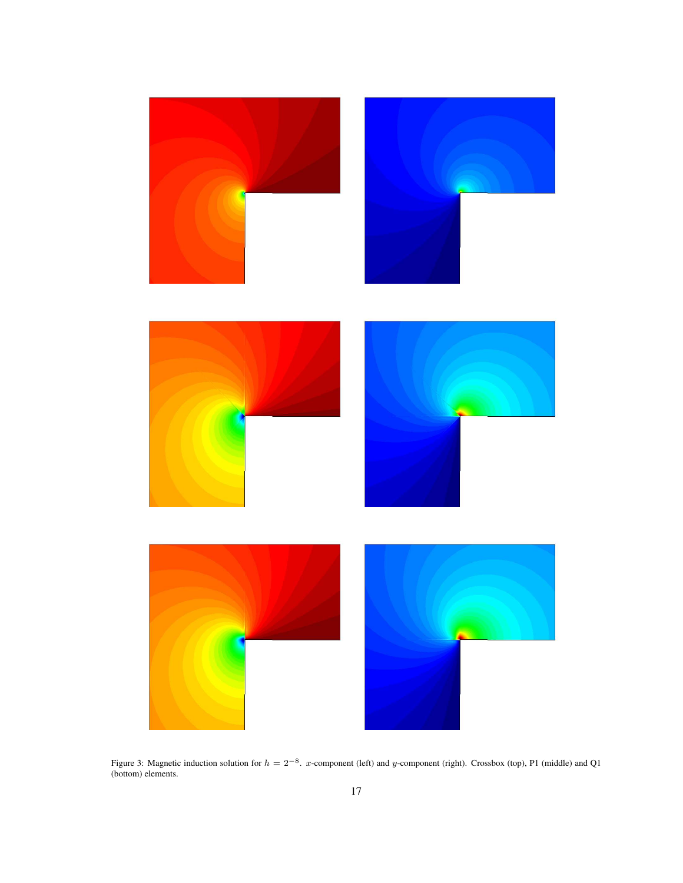

Figure 3: Magnetic induction solution for  $h = 2^{-8}$ . x-component (left) and y-component (right). Crossbox (top), P1 (middle) and Q1 (bottom) elements.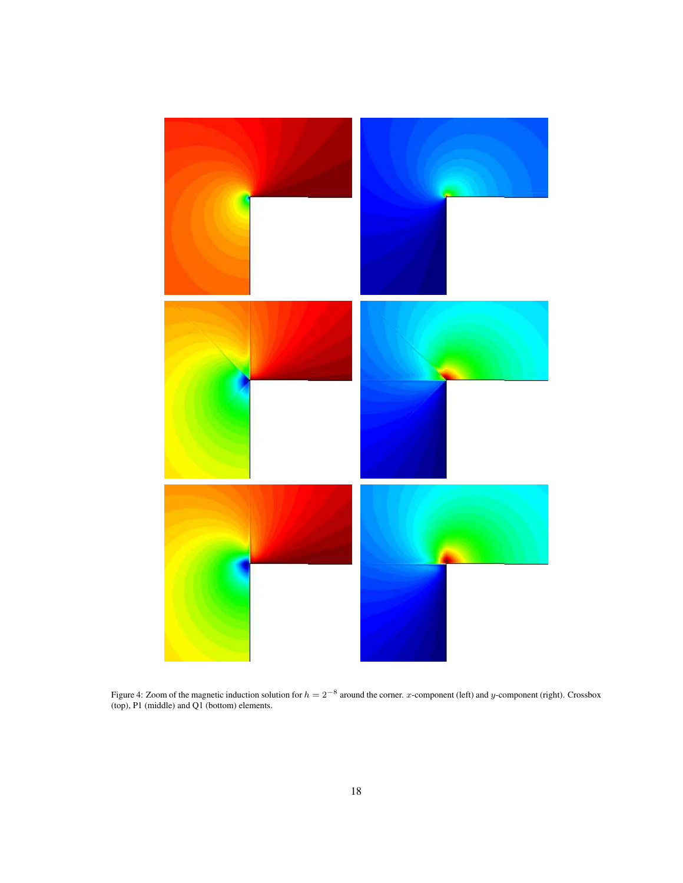

Figure 4: Zoom of the magnetic induction solution for  $h = 2^{-8}$  around the corner. x-component (left) and y-component (right). Crossbox (top), P1 (middle) and Q1 (bottom) elements.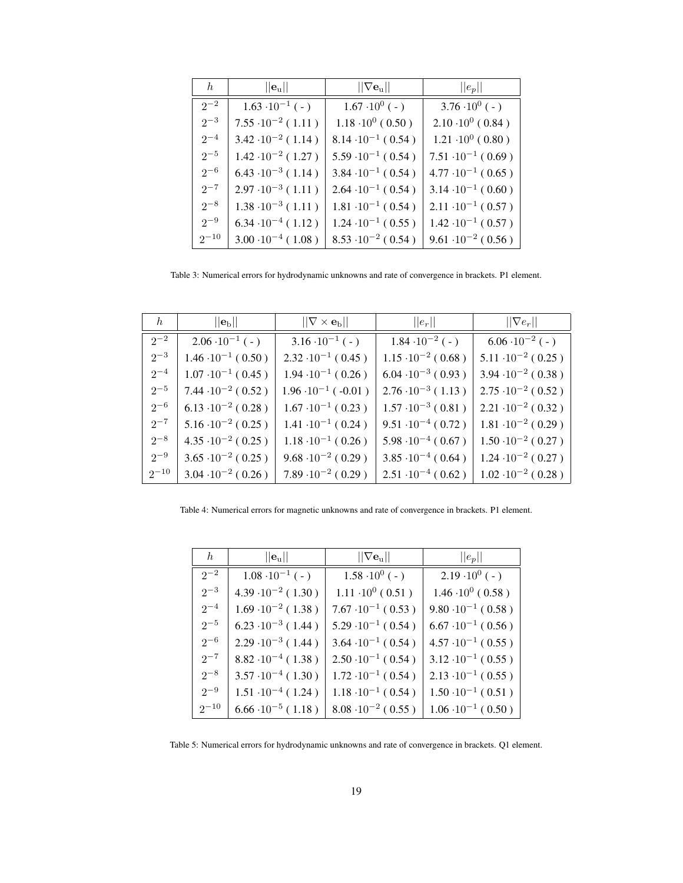| h         | $  \mathbf{e}_\mathrm{u}  $ | $  \nabla e_{\mathrm{u}}  $ | $  e_p  $                   |
|-----------|-----------------------------|-----------------------------|-----------------------------|
| $2^{-2}$  | $1.63 \cdot 10^{-1}$ ( - )  | $1.67 \cdot 10^{0}$ ( - )   | $3.76 \cdot 10^{0}$ ( - )   |
| $2^{-3}$  | $7.55 \cdot 10^{-2}$ (1.11) | $1.18 \cdot 10^{0}$ (0.50)  | $2.10 \cdot 10^{0}$ (0.84)  |
| $2^{-4}$  | $3.42 \cdot 10^{-2}$ (1.14) | $8.14 \cdot 10^{-1} (0.54)$ | $1.21 \cdot 10^{0}$ (0.80)  |
| $2^{-5}$  | $1.42 \cdot 10^{-2}$ (1.27) | $5.59 \cdot 10^{-1} (0.54)$ | $7.51 \cdot 10^{-1} (0.69)$ |
| $2^{-6}$  | $6.43 \cdot 10^{-3}$ (1.14) | $3.84 \cdot 10^{-1}$ (0.54) | $4.77 \cdot 10^{-1} (0.65)$ |
| $2^{-7}$  | $2.97 \cdot 10^{-3}$ (1.11) | $2.64 \cdot 10^{-1} (0.54)$ | $3.14 \cdot 10^{-1} (0.60)$ |
| $2^{-8}$  | $1.38 \cdot 10^{-3}$ (1.11) | $1.81 \cdot 10^{-1}$ (0.54) | $2.11 \cdot 10^{-1} (0.57)$ |
| $2^{-9}$  | $6.34 \cdot 10^{-4}$ (1.12) | $1.24 \cdot 10^{-1} (0.55)$ | $1.42 \cdot 10^{-1} (0.57)$ |
| $2^{-10}$ | $3.00 \cdot 10^{-4}$ (1.08) | $8.53 \cdot 10^{-2} (0.54)$ | $9.61 \cdot 10^{-2} (0.56)$ |

Table 3: Numerical errors for hydrodynamic unknowns and rate of convergence in brackets. P1 element.

| $\hbar$   | $  \mathbf{e}_{\text{b}}  $ | $  \nabla \times \mathbf{e}_{\text{b}}  $ | $  e_r  $                   | $\ \nabla e_r\ $            |
|-----------|-----------------------------|-------------------------------------------|-----------------------------|-----------------------------|
| $2^{-2}$  | $2.06 \cdot 10^{-1}$ ( - )  | $3.16 \cdot 10^{-1}$ (-)                  | $1.84 \cdot 10^{-2}$ ( - )  | $6.06 \cdot 10^{-2}$ ( - )  |
| $2^{-3}$  | $1.46 \cdot 10^{-1} (0.50)$ | $2.32 \cdot 10^{-1} (0.45)$               | $1.15 \cdot 10^{-2} (0.68)$ | $5.11 \cdot 10^{-2} (0.25)$ |
| $2^{-4}$  | $1.07 \cdot 10^{-1}$ (0.45) | $1.94 \cdot 10^{-1}$ (0.26)               | $6.04 \cdot 10^{-3} (0.93)$ | $3.94 \cdot 10^{-2} (0.38)$ |
| $2^{-5}$  | $7.44 \cdot 10^{-2} (0.52)$ | $1.96 \cdot 10^{-1}$ (-0.01)              | $2.76 \cdot 10^{-3}$ (1.13) | $2.75 \cdot 10^{-2} (0.52)$ |
| $2^{-6}$  | $6.13 \cdot 10^{-2} (0.28)$ | $1.67 \cdot 10^{-1}$ (0.23)               | $1.57 \cdot 10^{-3}$ (0.81) | $2.21 \cdot 10^{-2}$ (0.32) |
| $2^{-7}$  | $5.16 \cdot 10^{-2} (0.25)$ | $1.41 \cdot 10^{-1}$ (0.24)               | $9.51 \cdot 10^{-4} (0.72)$ | $1.81 \cdot 10^{-2} (0.29)$ |
| $2^{-8}$  | $4.35 \cdot 10^{-2} (0.25)$ | $1.18 \cdot 10^{-1} (0.26)$               | $5.98 \cdot 10^{-4} (0.67)$ | $1.50 \cdot 10^{-2} (0.27)$ |
| $2^{-9}$  | $3.65 \cdot 10^{-2} (0.25)$ | $9.68 \cdot 10^{-2} (0.29)$               | $3.85 \cdot 10^{-4}$ (0.64) | $1.24 \cdot 10^{-2} (0.27)$ |
| $2^{-10}$ | $3.04 \cdot 10^{-2}$ (0.26) | $7.89 \cdot 10^{-2} (0.29)$               | $2.51 \cdot 10^{-4}$ (0.62) | $1.02 \cdot 10^{-2}$ (0.28) |

Table 4: Numerical errors for magnetic unknowns and rate of convergence in brackets. P1 element.

| h         | $  \mathbf{e}_\mathrm{u}  $ | $\ \nabla \mathbf{e}_{\mathrm{u}}\ $ | $  e_p  $                   |
|-----------|-----------------------------|--------------------------------------|-----------------------------|
| $2^{-2}$  | $1.08 \cdot 10^{-1}$ ( - )  | $1.58 \cdot 10^{0}$ ( - )            | $2.19 \cdot 10^{0}$ ( - )   |
| $2^{-3}$  | $4.39 \cdot 10^{-2} (1.30)$ | $1.11 \cdot 10^{0}$ (0.51)           | $1.46 \cdot 10^{0}$ (0.58)  |
| $2^{-4}$  | $1.69 \cdot 10^{-2}$ (1.38) | $7.67 \cdot 10^{-1} (0.53)$          | $9.80 \cdot 10^{-1} (0.58)$ |
| $2^{-5}$  | $6.23 \cdot 10^{-3}$ (1.44) | $5.29 \cdot 10^{-1} (0.54)$          | $6.67 \cdot 10^{-1} (0.56)$ |
| $2^{-6}$  | $2.29 \cdot 10^{-3}$ (1.44) | $3.64 \cdot 10^{-1}$ (0.54)          | $4.57 \cdot 10^{-1} (0.55)$ |
| $2^{-7}$  | $8.82 \cdot 10^{-4}$ (1.38) | $2.50 \cdot 10^{-1}$ (0.54)          | $3.12 \cdot 10^{-1} (0.55)$ |
| $2^{-8}$  | $3.57 \cdot 10^{-4}$ (1.30) | $1.72 \cdot 10^{-1}$ (0.54)          | $2.13 \cdot 10^{-1} (0.55)$ |
| $2^{-9}$  | $1.51 \cdot 10^{-4}$ (1.24) | $1.18 \cdot 10^{-1}$ (0.54)          | $1.50 \cdot 10^{-1}$ (0.51) |
| $2^{-10}$ | $6.66 \cdot 10^{-5}$ (1.18) | $8.08 \cdot 10^{-2} (0.55)$          | $1.06 \cdot 10^{-1} (0.50)$ |

Table 5: Numerical errors for hydrodynamic unknowns and rate of convergence in brackets. Q1 element.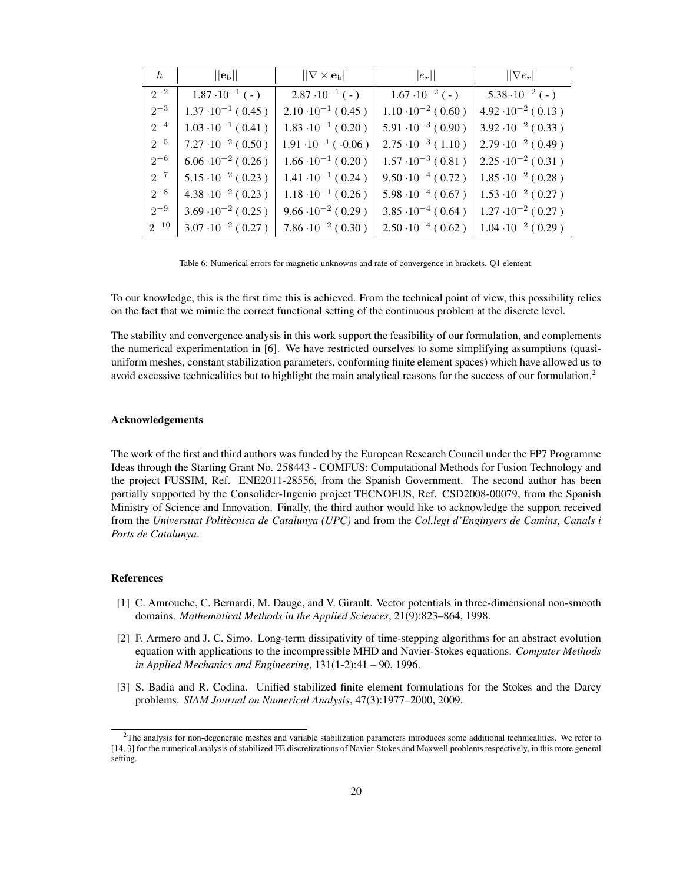| h         | $  \mathbf{e}_\mathrm{b}  $ | $  \nabla \times \mathbf{e}_{\text{b}}  $ | $  e_r  $                   | $\ \nabla e_r\ $              |
|-----------|-----------------------------|-------------------------------------------|-----------------------------|-------------------------------|
| $2^{-2}$  | $1.87 \cdot 10^{-1}$ ( - )  | $2.87 \cdot 10^{-1}$ ( - )                | $1.67 \cdot 10^{-2}$ ( - )  | $5.38 \cdot 10^{-2}$ (-)      |
| $2^{-3}$  | $1.37 \cdot 10^{-1}$ (0.45) | $2.10 \cdot 10^{-1}$ (0.45)               | $1.10 \cdot 10^{-2}$ (0.60) | $4.92 \cdot 10^{-2} (0.13)$   |
| $2^{-4}$  | $1.03 \cdot 10^{-1}$ (0.41) | $1.83 \cdot 10^{-1}$ (0.20)               | $5.91 \cdot 10^{-3} (0.90)$ | $3.92 \cdot 10^{-2} (0.33)$   |
| $2^{-5}$  | $7.27 \cdot 10^{-2} (0.50)$ | $1.91 \cdot 10^{-1}$ (-0.06)              | $2.75 \cdot 10^{-3}$ (1.10) | $2.79 \cdot 10^{-2} (0.49)$   |
| $2^{-6}$  | $6.06 \cdot 10^{-2} (0.26)$ | $1.66 \cdot 10^{-1} (0.20)$               | $1.57 \cdot 10^{-3}$ (0.81) | $2.25 \cdot 10^{-2} (0.31)$   |
| $2^{-7}$  | $5.15 \cdot 10^{-2} (0.23)$ | $1.41 \cdot 10^{-1}$ (0.24)               | $9.50 \cdot 10^{-4} (0.72)$ | $1.85 \cdot 10^{-2} (0.28)$   |
| $2^{-8}$  | $4.38 \cdot 10^{-2} (0.23)$ | $1.18 \cdot 10^{-1} (0.26)$               | $5.98 \cdot 10^{-4} (0.67)$ | $1.53 \cdot 10^{-2}$ ( 0.27 ) |
| $2^{-9}$  | $3.69 \cdot 10^{-2} (0.25)$ | $9.66 \cdot 10^{-2} (0.29)$               | $3.85 \cdot 10^{-4} (0.64)$ | $1.27 \cdot 10^{-2}$ ( 0.27 ) |
| $2^{-10}$ | $3.07 \cdot 10^{-2} (0.27)$ | $7.86 \cdot 10^{-2} (0.30)$               | $2.50 \cdot 10^{-4}$ (0.62) | $1.04 \cdot 10^{-2}$ (0.29)   |

Table 6: Numerical errors for magnetic unknowns and rate of convergence in brackets. Q1 element.

To our knowledge, this is the first time this is achieved. From the technical point of view, this possibility relies on the fact that we mimic the correct functional setting of the continuous problem at the discrete level.

The stability and convergence analysis in this work support the feasibility of our formulation, and complements the numerical experimentation in [6]. We have restricted ourselves to some simplifying assumptions (quasiuniform meshes, constant stabilization parameters, conforming finite element spaces) which have allowed us to avoid excessive technicalities but to highlight the main analytical reasons for the success of our formulation.<sup>2</sup>

#### Acknowledgements

The work of the first and third authors was funded by the European Research Council under the FP7 Programme Ideas through the Starting Grant No. 258443 - COMFUS: Computational Methods for Fusion Technology and the project FUSSIM, Ref. ENE2011-28556, from the Spanish Government. The second author has been partially supported by the Consolider-Ingenio project TECNOFUS, Ref. CSD2008-00079, from the Spanish Ministry of Science and Innovation. Finally, the third author would like to acknowledge the support received from the *Universitat Politecnica de Catalunya (UPC) `* and from the *Col.legi d'Enginyers de Camins, Canals i Ports de Catalunya*.

### References

- [1] C. Amrouche, C. Bernardi, M. Dauge, and V. Girault. Vector potentials in three-dimensional non-smooth domains. *Mathematical Methods in the Applied Sciences*, 21(9):823–864, 1998.
- [2] F. Armero and J. C. Simo. Long-term dissipativity of time-stepping algorithms for an abstract evolution equation with applications to the incompressible MHD and Navier-Stokes equations. *Computer Methods in Applied Mechanics and Engineering*, 131(1-2):41 – 90, 1996.
- [3] S. Badia and R. Codina. Unified stabilized finite element formulations for the Stokes and the Darcy problems. *SIAM Journal on Numerical Analysis*, 47(3):1977–2000, 2009.

<sup>2</sup>The analysis for non-degenerate meshes and variable stabilization parameters introduces some additional technicalities. We refer to [14, 3] for the numerical analysis of stabilized FE discretizations of Navier-Stokes and Maxwell problems respectively, in this more general setting.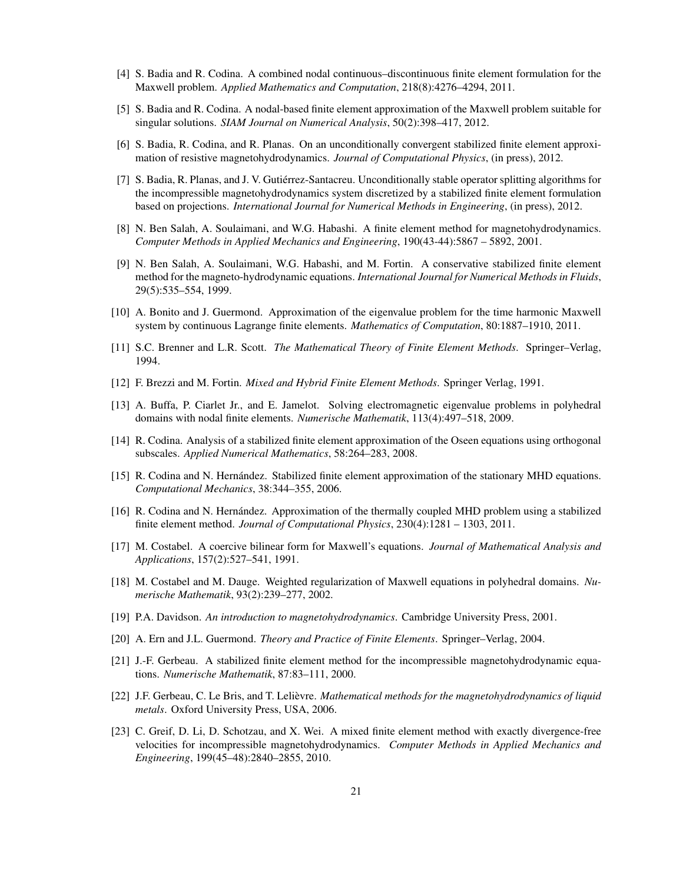- [4] S. Badia and R. Codina. A combined nodal continuous–discontinuous finite element formulation for the Maxwell problem. *Applied Mathematics and Computation*, 218(8):4276–4294, 2011.
- [5] S. Badia and R. Codina. A nodal-based finite element approximation of the Maxwell problem suitable for singular solutions. *SIAM Journal on Numerical Analysis*, 50(2):398–417, 2012.
- [6] S. Badia, R. Codina, and R. Planas. On an unconditionally convergent stabilized finite element approximation of resistive magnetohydrodynamics. *Journal of Computational Physics*, (in press), 2012.
- [7] S. Badia, R. Planas, and J. V. Gutierrez-Santacreu. Unconditionally stable operator splitting algorithms for ´ the incompressible magnetohydrodynamics system discretized by a stabilized finite element formulation based on projections. *International Journal for Numerical Methods in Engineering*, (in press), 2012.
- [8] N. Ben Salah, A. Soulaimani, and W.G. Habashi. A finite element method for magnetohydrodynamics. *Computer Methods in Applied Mechanics and Engineering*, 190(43-44):5867 – 5892, 2001.
- [9] N. Ben Salah, A. Soulaimani, W.G. Habashi, and M. Fortin. A conservative stabilized finite element method for the magneto-hydrodynamic equations. *International Journal for Numerical Methods in Fluids*, 29(5):535–554, 1999.
- [10] A. Bonito and J. Guermond. Approximation of the eigenvalue problem for the time harmonic Maxwell system by continuous Lagrange finite elements. *Mathematics of Computation*, 80:1887–1910, 2011.
- [11] S.C. Brenner and L.R. Scott. *The Mathematical Theory of Finite Element Methods*. Springer–Verlag, 1994.
- [12] F. Brezzi and M. Fortin. *Mixed and Hybrid Finite Element Methods*. Springer Verlag, 1991.
- [13] A. Buffa, P. Ciarlet Jr., and E. Jamelot. Solving electromagnetic eigenvalue problems in polyhedral domains with nodal finite elements. *Numerische Mathematik*, 113(4):497–518, 2009.
- [14] R. Codina. Analysis of a stabilized finite element approximation of the Oseen equations using orthogonal subscales. *Applied Numerical Mathematics*, 58:264–283, 2008.
- [15] R. Codina and N. Hernández. Stabilized finite element approximation of the stationary MHD equations. *Computational Mechanics*, 38:344–355, 2006.
- [16] R. Codina and N. Hernández. Approximation of the thermally coupled MHD problem using a stabilized finite element method. *Journal of Computational Physics*, 230(4):1281 – 1303, 2011.
- [17] M. Costabel. A coercive bilinear form for Maxwell's equations. *Journal of Mathematical Analysis and Applications*, 157(2):527–541, 1991.
- [18] M. Costabel and M. Dauge. Weighted regularization of Maxwell equations in polyhedral domains. *Numerische Mathematik*, 93(2):239–277, 2002.
- [19] P.A. Davidson. *An introduction to magnetohydrodynamics*. Cambridge University Press, 2001.
- [20] A. Ern and J.L. Guermond. *Theory and Practice of Finite Elements*. Springer–Verlag, 2004.
- [21] J.-F. Gerbeau. A stabilized finite element method for the incompressible magnetohydrodynamic equations. *Numerische Mathematik*, 87:83–111, 2000.
- [22] J.F. Gerbeau, C. Le Bris, and T. Lelièvre. *Mathematical methods for the magnetohydrodynamics of liquid metals*. Oxford University Press, USA, 2006.
- [23] C. Greif, D. Li, D. Schotzau, and X. Wei. A mixed finite element method with exactly divergence-free velocities for incompressible magnetohydrodynamics. *Computer Methods in Applied Mechanics and Engineering*, 199(45–48):2840–2855, 2010.